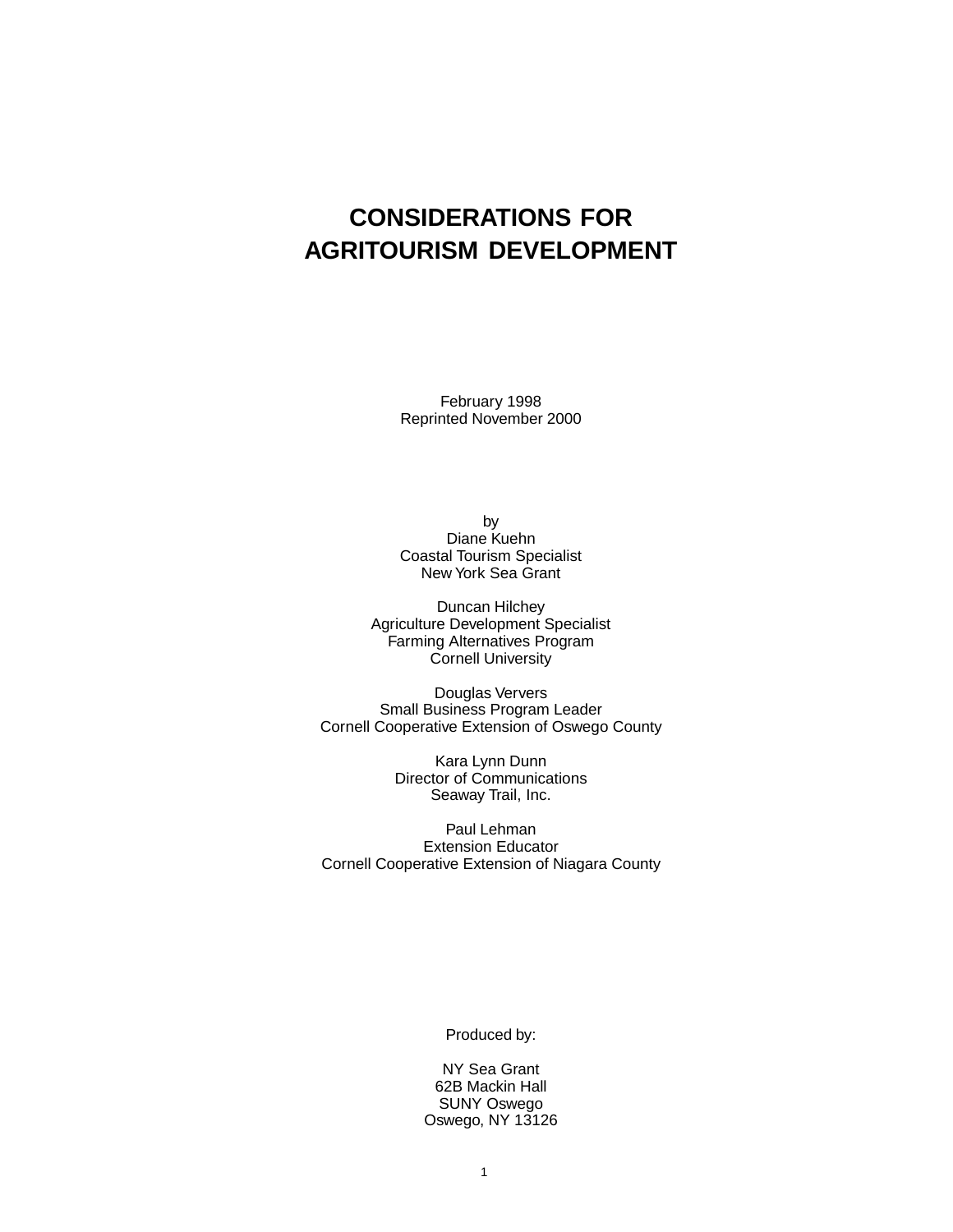## **CONSIDERATIONS FOR AGRITOURISM DEVELOPMENT**

February 1998 Reprinted November 2000

by Diane Kuehn Coastal Tourism Specialist New York Sea Grant

Duncan Hilchey Agriculture Development Specialist Farming Alternatives Program Cornell University

Douglas Ververs Small Business Program Leader Cornell Cooperative Extension of Oswego County

> Kara Lynn Dunn Director of Communications Seaway Trail, Inc.

Paul Lehman Extension Educator Cornell Cooperative Extension of Niagara County

Produced by:

NY Sea Grant 62B Mackin Hall SUNY Oswego Oswego, NY 13126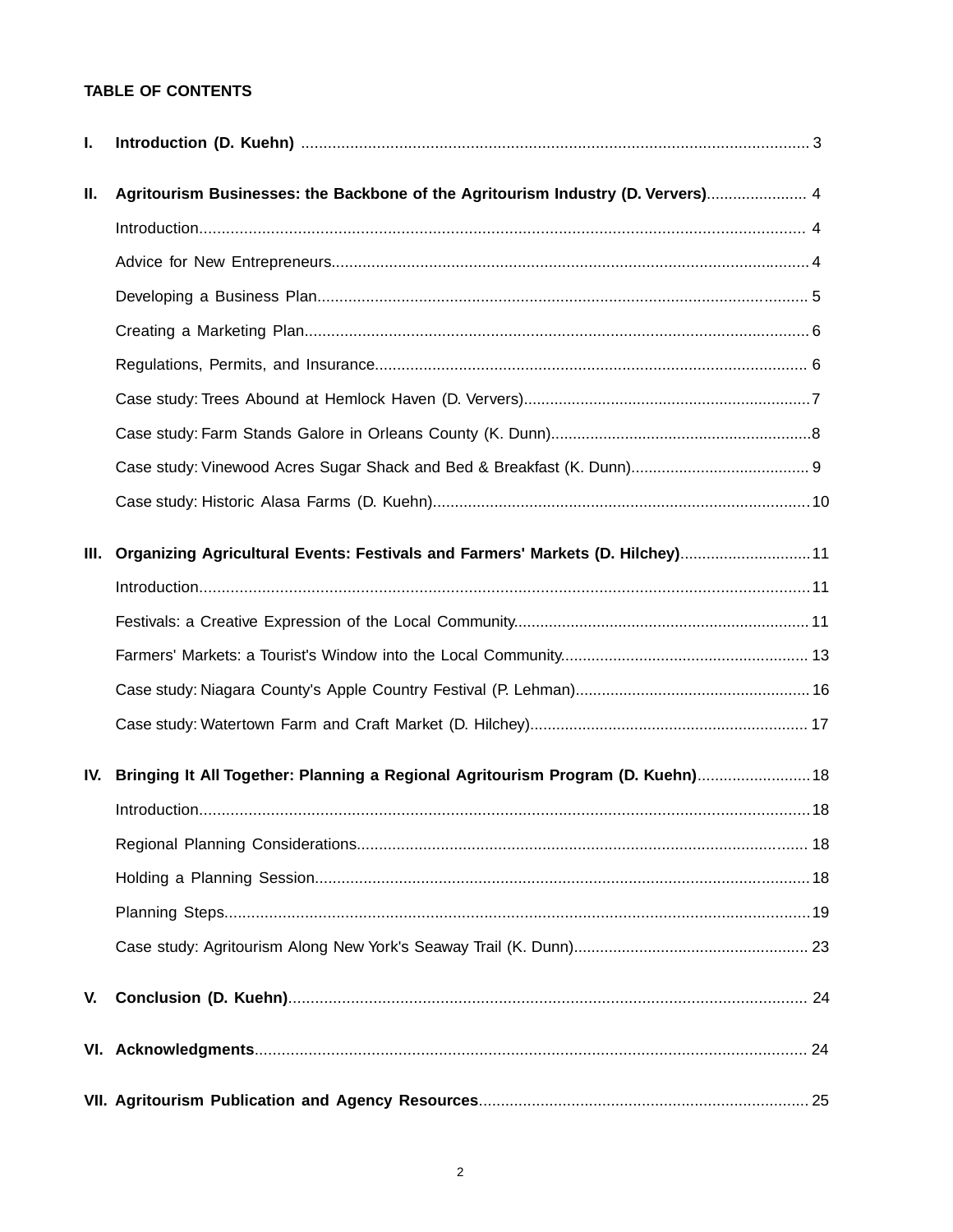## **TABLE OF CONTENTS**

| I.   |                                                                                 |  |
|------|---------------------------------------------------------------------------------|--|
| П.   | Agritourism Businesses: the Backbone of the Agritourism Industry (D. Ververs) 4 |  |
|      |                                                                                 |  |
|      |                                                                                 |  |
|      |                                                                                 |  |
|      |                                                                                 |  |
|      |                                                                                 |  |
|      |                                                                                 |  |
|      |                                                                                 |  |
|      |                                                                                 |  |
|      |                                                                                 |  |
| III. | Organizing Agricultural Events: Festivals and Farmers' Markets (D. Hilchey) 11  |  |
|      |                                                                                 |  |
|      |                                                                                 |  |
|      |                                                                                 |  |
|      |                                                                                 |  |
|      |                                                                                 |  |
| IV.  | Bringing It All Together: Planning a Regional Agritourism Program (D. Kuehn) 18 |  |
|      |                                                                                 |  |
|      |                                                                                 |  |
|      |                                                                                 |  |
|      |                                                                                 |  |
|      |                                                                                 |  |
| V.   |                                                                                 |  |
|      |                                                                                 |  |
|      |                                                                                 |  |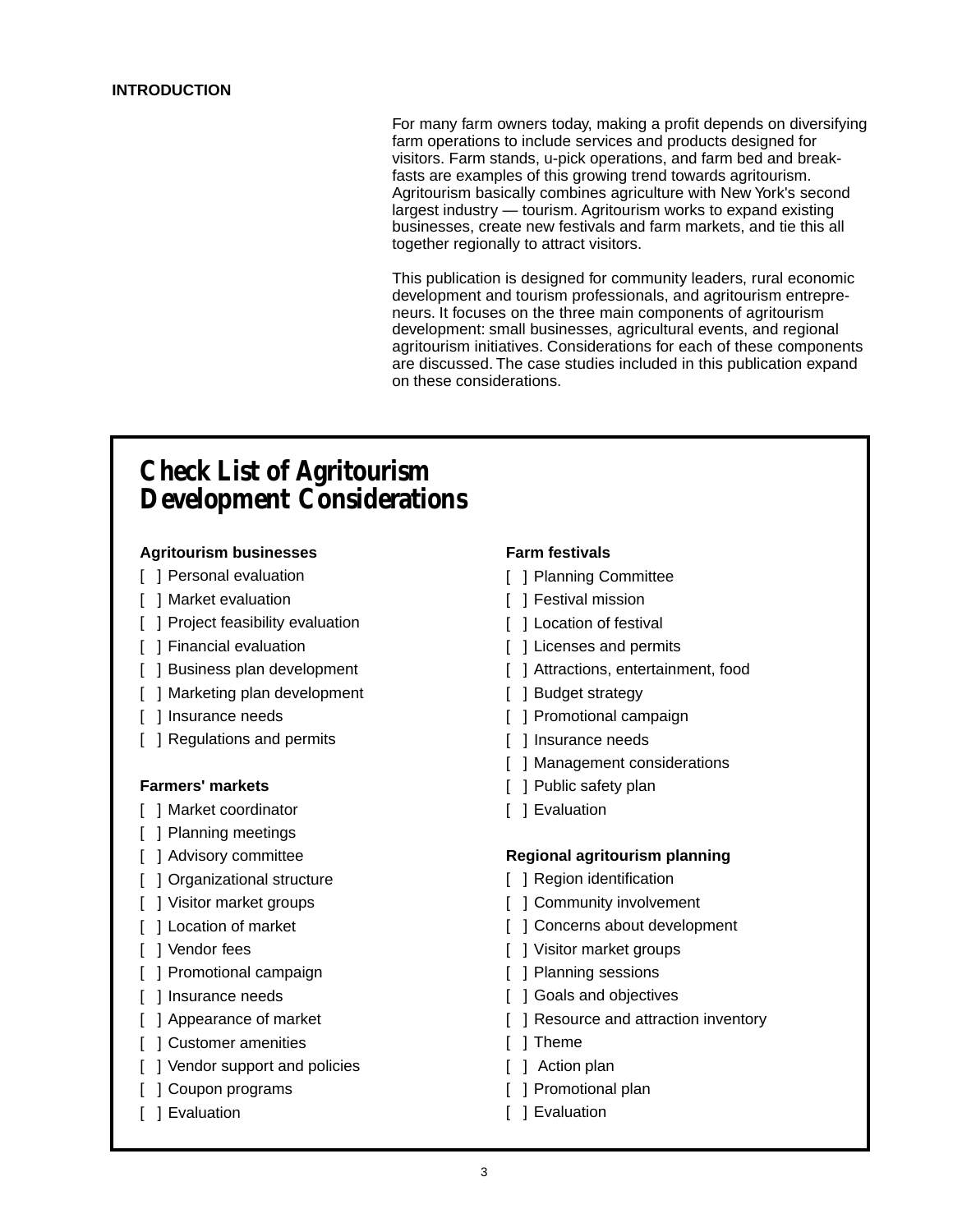For many farm owners today, making a profit depends on diversifying farm operations to include services and products designed for visitors. Farm stands, u-pick operations, and farm bed and breakfasts are examples of this growing trend towards agritourism. Agritourism basically combines agriculture with New York's second largest industry — tourism. Agritourism works to expand existing businesses, create new festivals and farm markets, and tie this all together regionally to attract visitors.

This publication is designed for community leaders, rural economic development and tourism professionals, and agritourism entrepreneurs. It focuses on the three main components of agritourism development: small businesses, agricultural events, and regional agritourism initiatives. Considerations for each of these components are discussed. The case studies included in this publication expand on these considerations.

## **Check List of Agritourism Development Considerations**

### **Agritourism businesses**

- [ 1 Personal evaluation
- [ ] Market evaluation
- [ ] Project feasibility evaluation
- [ ] Financial evaluation
- [ ] Business plan development
- [ ] Marketing plan development
- [ ] Insurance needs
- [ ] Regulations and permits

### **Farmers' markets**

- [ ] Market coordinator
- [ ] Planning meetings
- [ ] Advisory committee
- [ ] Organizational structure
- [ ] Visitor market groups
- [ ] Location of market
- [ ] Vendor fees
- [ ] Promotional campaign
- [ ] Insurance needs
- [ ] Appearance of market
- [ ] Customer amenities
- [ ] Vendor support and policies
- [ ] Coupon programs
- [ ] Evaluation

### **Farm festivals**

- [ ] Planning Committee
- [ ] Festival mission
- [ ] Location of festival
- [ ] Licenses and permits
- [ ] Attractions, entertainment, food
- [ ] Budget strategy
- [ ] Promotional campaign
- [ ] Insurance needs
- [ ] Management considerations
- [ ] Public safety plan
- [ ] Evaluation

### **Regional agritourism planning**

- [ ] Region identification
- [ ] Community involvement
- [ ] Concerns about development
- [ ] Visitor market groups
- [ ] Planning sessions
- [ ] Goals and objectives
- [ ] Resource and attraction inventory
- [ ] Theme
- [ ] Action plan
- [ ] Promotional plan
- [ ] Evaluation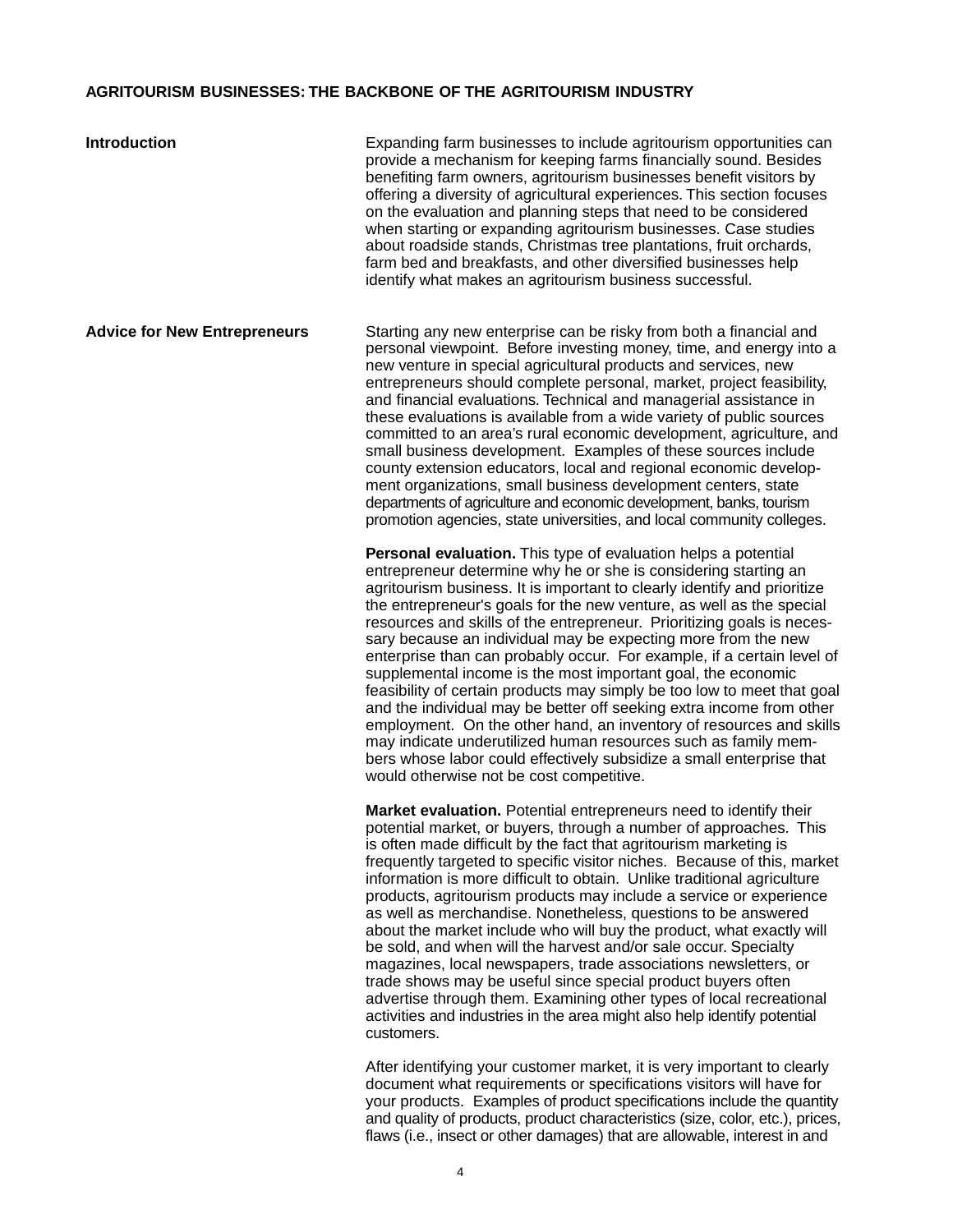### **AGRITOURISM BUSINESSES: THE BACKBONE OF THE AGRITOURISM INDUSTRY**

| <b>Introduction</b>                 | Expanding farm businesses to include agritourism opportunities can<br>provide a mechanism for keeping farms financially sound. Besides<br>benefiting farm owners, agritourism businesses benefit visitors by<br>offering a diversity of agricultural experiences. This section focuses<br>on the evaluation and planning steps that need to be considered<br>when starting or expanding agritourism businesses. Case studies<br>about roadside stands, Christmas tree plantations, fruit orchards,<br>farm bed and breakfasts, and other diversified businesses help<br>identify what makes an agritourism business successful.                                                                                                                                                                                                                                                                                                                                                            |
|-------------------------------------|--------------------------------------------------------------------------------------------------------------------------------------------------------------------------------------------------------------------------------------------------------------------------------------------------------------------------------------------------------------------------------------------------------------------------------------------------------------------------------------------------------------------------------------------------------------------------------------------------------------------------------------------------------------------------------------------------------------------------------------------------------------------------------------------------------------------------------------------------------------------------------------------------------------------------------------------------------------------------------------------|
| <b>Advice for New Entrepreneurs</b> | Starting any new enterprise can be risky from both a financial and<br>personal viewpoint. Before investing money, time, and energy into a<br>new venture in special agricultural products and services, new<br>entrepreneurs should complete personal, market, project feasibility,<br>and financial evaluations. Technical and managerial assistance in<br>these evaluations is available from a wide variety of public sources<br>committed to an area's rural economic development, agriculture, and<br>small business development. Examples of these sources include<br>county extension educators, local and regional economic develop-<br>ment organizations, small business development centers, state<br>departments of agriculture and economic development, banks, tourism<br>promotion agencies, state universities, and local community colleges.                                                                                                                              |
|                                     | Personal evaluation. This type of evaluation helps a potential<br>entrepreneur determine why he or she is considering starting an<br>agritourism business. It is important to clearly identify and prioritize<br>the entrepreneur's goals for the new venture, as well as the special<br>resources and skills of the entrepreneur. Prioritizing goals is neces-<br>sary because an individual may be expecting more from the new<br>enterprise than can probably occur. For example, if a certain level of<br>supplemental income is the most important goal, the economic<br>feasibility of certain products may simply be too low to meet that goal<br>and the individual may be better off seeking extra income from other<br>employment. On the other hand, an inventory of resources and skills<br>may indicate underutilized human resources such as family mem-<br>bers whose labor could effectively subsidize a small enterprise that<br>would otherwise not be cost competitive. |
|                                     | Market evaluation. Potential entrepreneurs need to identify their<br>potential market, or buyers, through a number of approaches. This<br>is often made difficult by the fact that agritourism marketing is<br>frequently targeted to specific visitor niches. Because of this, market<br>information is more difficult to obtain. Unlike traditional agriculture<br>products, agritourism products may include a service or experience<br>as well as merchandise. Nonetheless, questions to be answered<br>about the market include who will buy the product, what exactly will<br>be sold, and when will the harvest and/or sale occur. Specialty<br>magazines, local newspapers, trade associations newsletters, or<br>trade shows may be useful since special product buyers often<br>advertise through them. Examining other types of local recreational<br>activities and industries in the area might also help identify potential<br>customers.                                    |
|                                     | After identifying your customer market, it is very important to clearly<br>document what requirements or specifications visitors will have for                                                                                                                                                                                                                                                                                                                                                                                                                                                                                                                                                                                                                                                                                                                                                                                                                                             |

document what requirements or specifications visitors will have for your products. Examples of product specifications include the quantity and quality of products, product characteristics (size, color, etc.), prices, flaws (i.e., insect or other damages) that are allowable, interest in and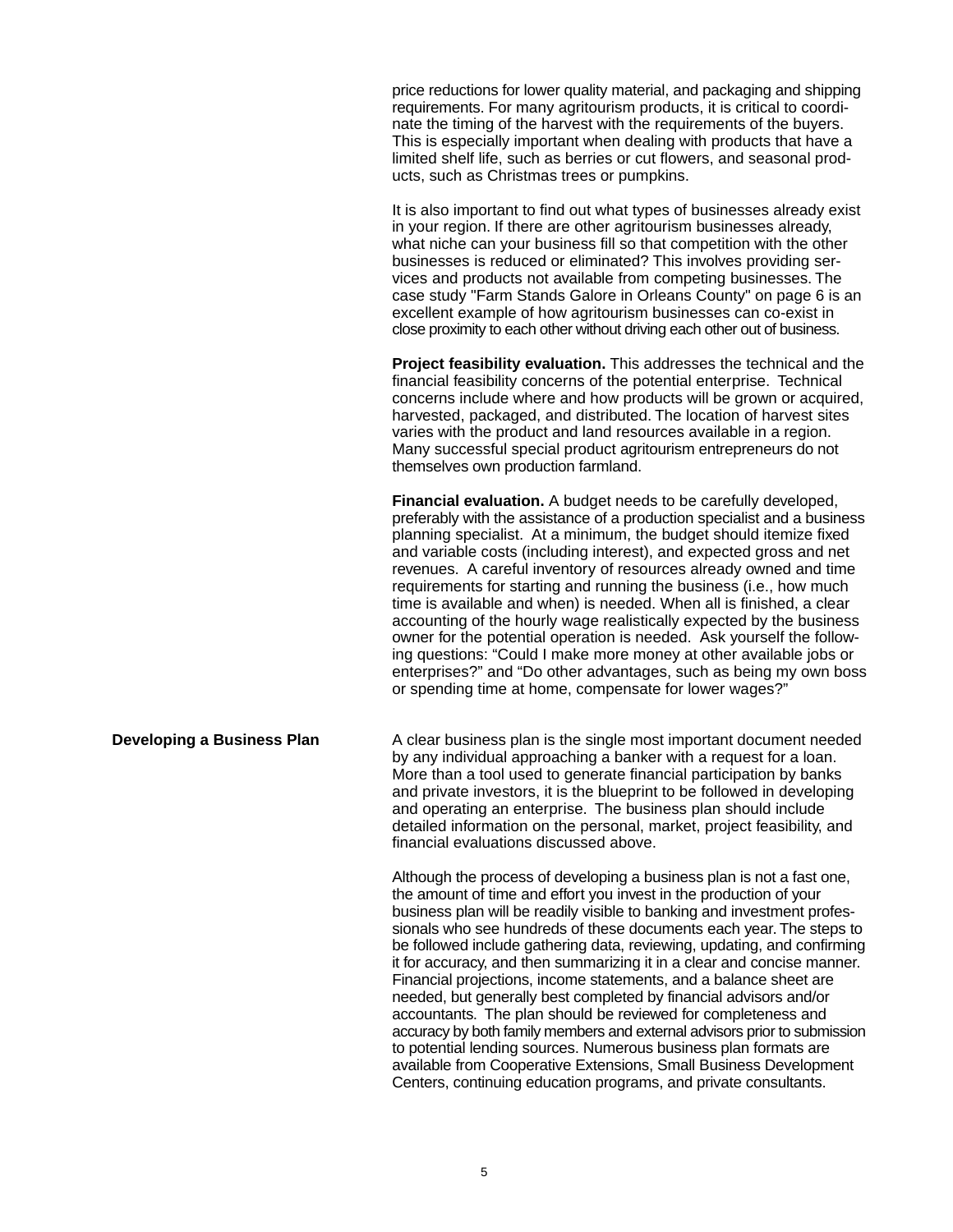price reductions for lower quality material, and packaging and shipping requirements. For many agritourism products, it is critical to coordinate the timing of the harvest with the requirements of the buyers. This is especially important when dealing with products that have a limited shelf life, such as berries or cut flowers, and seasonal products, such as Christmas trees or pumpkins.

It is also important to find out what types of businesses already exist in your region. If there are other agritourism businesses already, what niche can your business fill so that competition with the other businesses is reduced or eliminated? This involves providing services and products not available from competing businesses. The case study "Farm Stands Galore in Orleans County" on page 6 is an excellent example of how agritourism businesses can co-exist in close proximity to each other without driving each other out of business.

**Project feasibility evaluation.** This addresses the technical and the financial feasibility concerns of the potential enterprise. Technical concerns include where and how products will be grown or acquired, harvested, packaged, and distributed. The location of harvest sites varies with the product and land resources available in a region. Many successful special product agritourism entrepreneurs do not themselves own production farmland.

**Financial evaluation.** A budget needs to be carefully developed, preferably with the assistance of a production specialist and a business planning specialist. At a minimum, the budget should itemize fixed and variable costs (including interest), and expected gross and net revenues. A careful inventory of resources already owned and time requirements for starting and running the business (i.e., how much time is available and when) is needed. When all is finished, a clear accounting of the hourly wage realistically expected by the business owner for the potential operation is needed. Ask yourself the following questions: "Could I make more money at other available jobs or enterprises?" and "Do other advantages, such as being my own boss or spending time at home, compensate for lower wages?"

**Developing a Business Plan** A clear business plan is the single most important document needed by any individual approaching a banker with a request for a loan. More than a tool used to generate financial participation by banks and private investors, it is the blueprint to be followed in developing and operating an enterprise. The business plan should include detailed information on the personal, market, project feasibility, and financial evaluations discussed above.

> Although the process of developing a business plan is not a fast one, the amount of time and effort you invest in the production of your business plan will be readily visible to banking and investment professionals who see hundreds of these documents each year. The steps to be followed include gathering data, reviewing, updating, and confirming it for accuracy, and then summarizing it in a clear and concise manner. Financial projections, income statements, and a balance sheet are needed, but generally best completed by financial advisors and/or accountants. The plan should be reviewed for completeness and accuracy by both family members and external advisors prior to submission to potential lending sources. Numerous business plan formats are available from Cooperative Extensions, Small Business Development Centers, continuing education programs, and private consultants.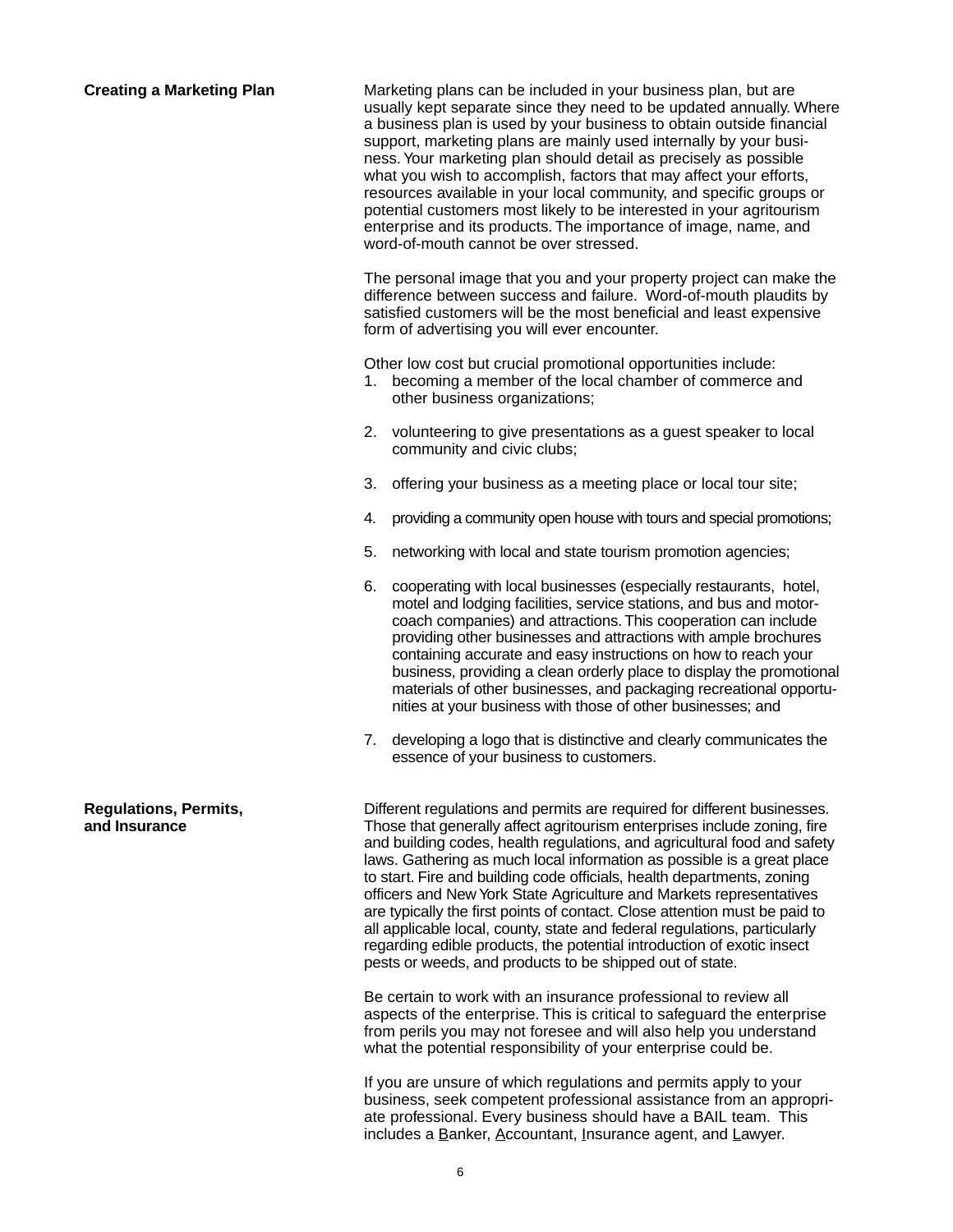**Creating a Marketing Plan** Marketing plans can be included in your business plan, but are usually kept separate since they need to be updated annually. Where a business plan is used by your business to obtain outside financial support, marketing plans are mainly used internally by your business. Your marketing plan should detail as precisely as possible what you wish to accomplish, factors that may affect your efforts, resources available in your local community, and specific groups or potential customers most likely to be interested in your agritourism enterprise and its products. The importance of image, name, and word-of-mouth cannot be over stressed.

> The personal image that you and your property project can make the difference between success and failure. Word-of-mouth plaudits by satisfied customers will be the most beneficial and least expensive form of advertising you will ever encounter.

Other low cost but crucial promotional opportunities include:

- 1. becoming a member of the local chamber of commerce and other business organizations;
- 2. volunteering to give presentations as a guest speaker to local community and civic clubs;
- 3. offering your business as a meeting place or local tour site;
- 4. providing a community open house with tours and special promotions;
- 5. networking with local and state tourism promotion agencies;
- 6. cooperating with local businesses (especially restaurants, hotel, motel and lodging facilities, service stations, and bus and motorcoach companies) and attractions. This cooperation can include providing other businesses and attractions with ample brochures containing accurate and easy instructions on how to reach your business, providing a clean orderly place to display the promotional materials of other businesses, and packaging recreational opportunities at your business with those of other businesses; and
- 7. developing a logo that is distinctive and clearly communicates the essence of your business to customers.

**Regulations, Permits,** Different regulations and permits are required for different businesses. **and Insurance** Those that generally affect agritourism enterprises include zoning, fire and building codes, health regulations, and agricultural food and safety laws. Gathering as much local information as possible is a great place to start. Fire and building code officials, health departments, zoning officers and New York State Agriculture and Markets representatives are typically the first points of contact. Close attention must be paid to all applicable local, county, state and federal regulations, particularly regarding edible products, the potential introduction of exotic insect pests or weeds, and products to be shipped out of state.

> Be certain to work with an insurance professional to review all aspects of the enterprise. This is critical to safeguard the enterprise from perils you may not foresee and will also help you understand what the potential responsibility of your enterprise could be.

If you are unsure of which regulations and permits apply to your business, seek competent professional assistance from an appropriate professional. Every business should have a BAIL team. This includes a Banker, Accountant, Insurance agent, and Lawyer.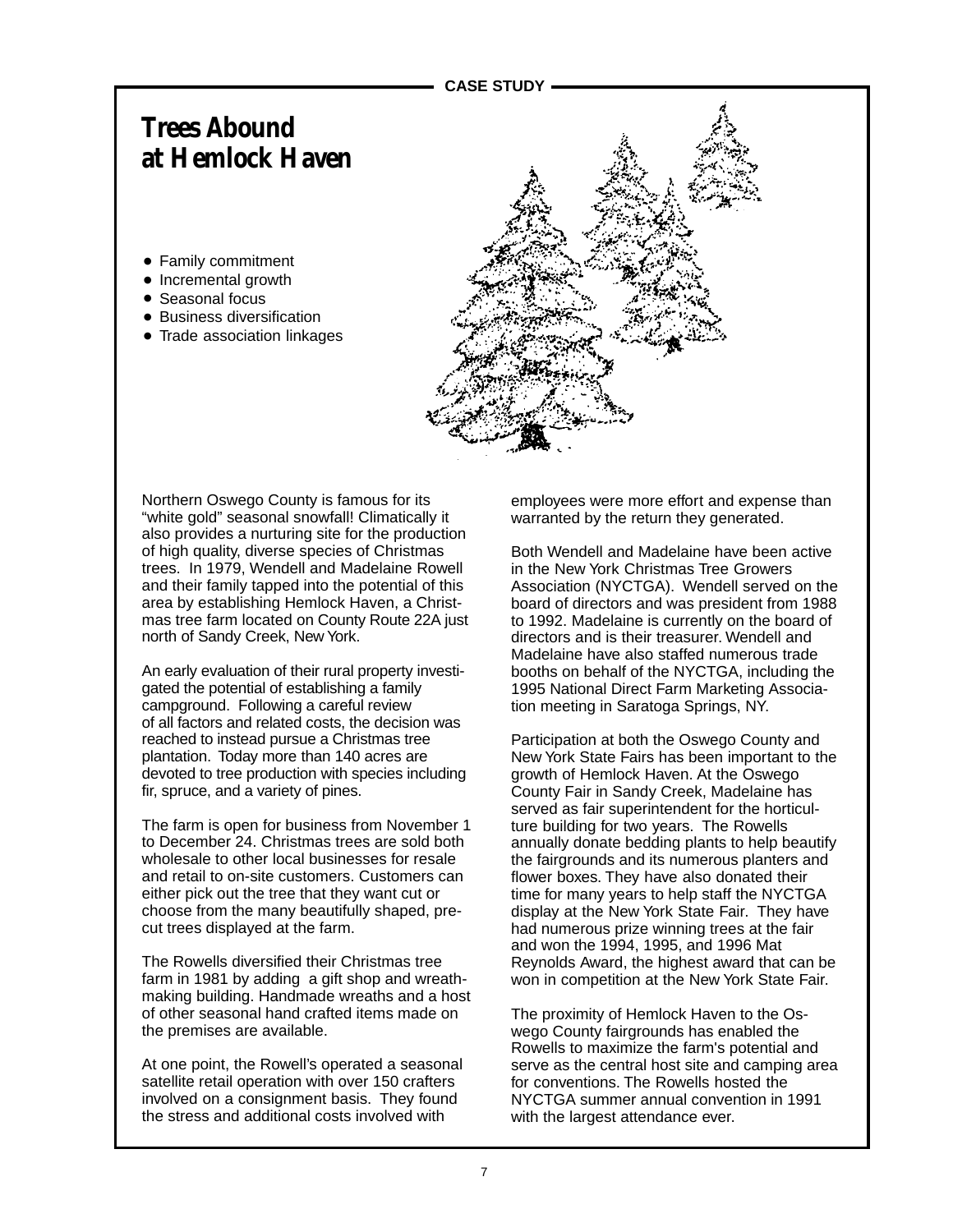## **Trees Abound at Hemlock Haven**

- Family commitment
- Incremental growth
- Seasonal focus
- Business diversification
- Trade association linkages



Northern Oswego County is famous for its "white gold" seasonal snowfall! Climatically it also provides a nurturing site for the production of high quality, diverse species of Christmas trees. In 1979, Wendell and Madelaine Rowell and their family tapped into the potential of this area by establishing Hemlock Haven, a Christmas tree farm located on County Route 22A just north of Sandy Creek, New York.

An early evaluation of their rural property investigated the potential of establishing a family campground. Following a careful review of all factors and related costs, the decision was reached to instead pursue a Christmas tree plantation. Today more than 140 acres are devoted to tree production with species including fir, spruce, and a variety of pines.

The farm is open for business from November 1 to December 24. Christmas trees are sold both wholesale to other local businesses for resale and retail to on-site customers. Customers can either pick out the tree that they want cut or choose from the many beautifully shaped, precut trees displayed at the farm.

The Rowells diversified their Christmas tree farm in 1981 by adding a gift shop and wreathmaking building. Handmade wreaths and a host of other seasonal hand crafted items made on the premises are available.

At one point, the Rowell's operated a seasonal satellite retail operation with over 150 crafters involved on a consignment basis. They found the stress and additional costs involved with

employees were more effort and expense than warranted by the return they generated.

Both Wendell and Madelaine have been active in the New York Christmas Tree Growers Association (NYCTGA). Wendell served on the board of directors and was president from 1988 to 1992. Madelaine is currently on the board of directors and is their treasurer. Wendell and Madelaine have also staffed numerous trade booths on behalf of the NYCTGA, including the 1995 National Direct Farm Marketing Association meeting in Saratoga Springs, NY.

Participation at both the Oswego County and New York State Fairs has been important to the growth of Hemlock Haven. At the Oswego County Fair in Sandy Creek, Madelaine has served as fair superintendent for the horticulture building for two years. The Rowells annually donate bedding plants to help beautify the fairgrounds and its numerous planters and flower boxes. They have also donated their time for many years to help staff the NYCTGA display at the New York State Fair. They have had numerous prize winning trees at the fair and won the 1994, 1995, and 1996 Mat Reynolds Award, the highest award that can be won in competition at the New York State Fair.

The proximity of Hemlock Haven to the Oswego County fairgrounds has enabled the Rowells to maximize the farm's potential and serve as the central host site and camping area for conventions. The Rowells hosted the NYCTGA summer annual convention in 1991 with the largest attendance ever.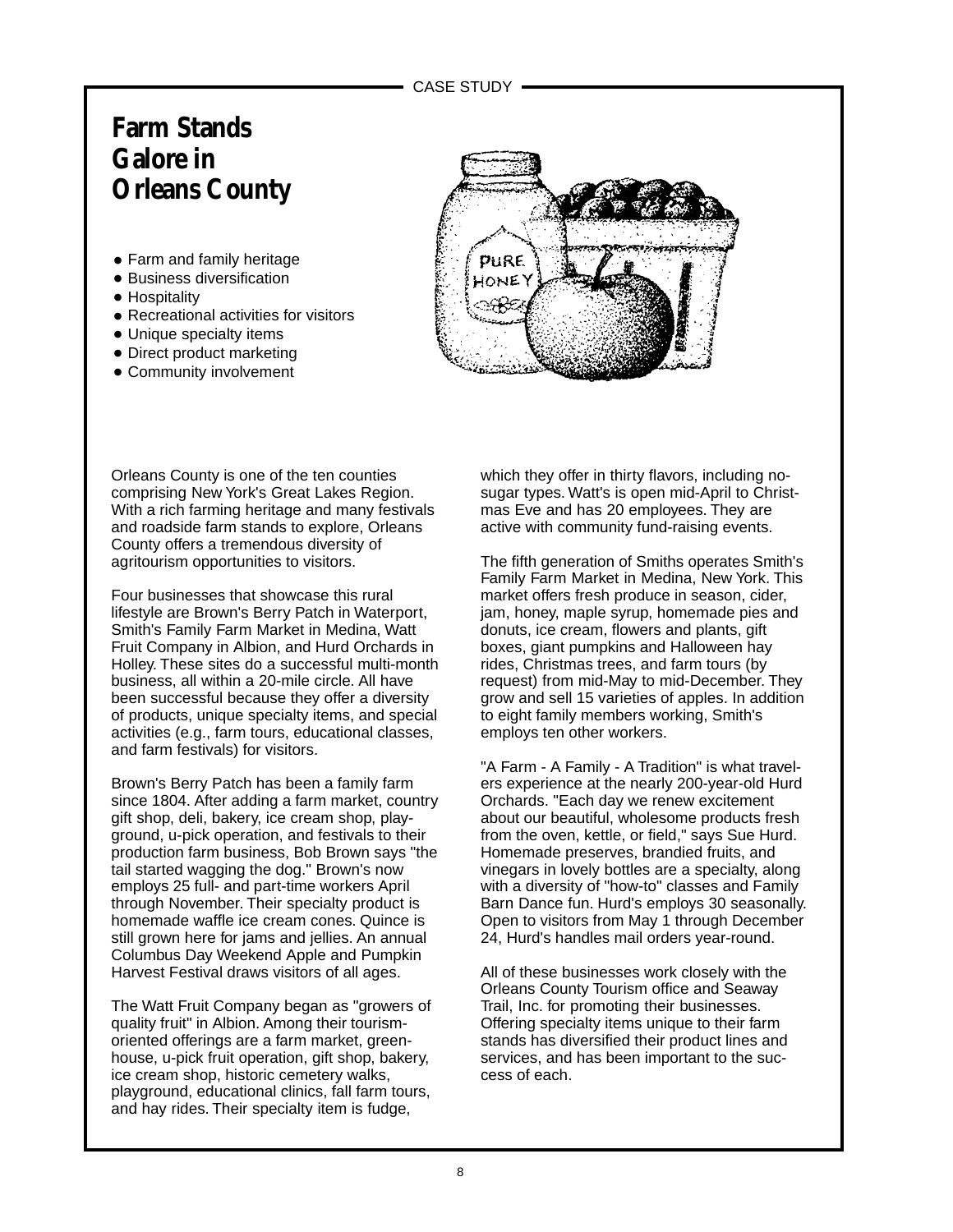## **Farm Stands Galore in Orleans County**

- Farm and family heritage
- Business diversification
- Hospitality
- Recreational activities for visitors
- Unique specialty items
- Direct product marketing
- Community involvement



Orleans County is one of the ten counties comprising New York's Great Lakes Region. With a rich farming heritage and many festivals and roadside farm stands to explore, Orleans County offers a tremendous diversity of agritourism opportunities to visitors.

Four businesses that showcase this rural lifestyle are Brown's Berry Patch in Waterport, Smith's Family Farm Market in Medina, Watt Fruit Company in Albion, and Hurd Orchards in Holley. These sites do a successful multi-month business, all within a 20-mile circle. All have been successful because they offer a diversity of products, unique specialty items, and special activities (e.g., farm tours, educational classes, and farm festivals) for visitors.

Brown's Berry Patch has been a family farm since 1804. After adding a farm market, country gift shop, deli, bakery, ice cream shop, playground, u-pick operation, and festivals to their production farm business, Bob Brown says "the tail started wagging the dog." Brown's now employs 25 full- and part-time workers April through November. Their specialty product is homemade waffle ice cream cones. Quince is still grown here for jams and jellies. An annual Columbus Day Weekend Apple and Pumpkin Harvest Festival draws visitors of all ages.

The Watt Fruit Company began as "growers of quality fruit" in Albion. Among their tourismoriented offerings are a farm market, greenhouse, u-pick fruit operation, gift shop, bakery, ice cream shop, historic cemetery walks, playground, educational clinics, fall farm tours, and hay rides. Their specialty item is fudge,

which they offer in thirty flavors, including nosugar types. Watt's is open mid-April to Christmas Eve and has 20 employees. They are active with community fund-raising events.

The fifth generation of Smiths operates Smith's Family Farm Market in Medina, New York. This market offers fresh produce in season, cider, jam, honey, maple syrup, homemade pies and donuts, ice cream, flowers and plants, gift boxes, giant pumpkins and Halloween hay rides, Christmas trees, and farm tours (by request) from mid-May to mid-December. They grow and sell 15 varieties of apples. In addition to eight family members working, Smith's employs ten other workers.

"A Farm - A Family - A Tradition" is what travelers experience at the nearly 200-year-old Hurd Orchards. "Each day we renew excitement about our beautiful, wholesome products fresh from the oven, kettle, or field," says Sue Hurd. Homemade preserves, brandied fruits, and vinegars in lovely bottles are a specialty, along with a diversity of "how-to" classes and Family Barn Dance fun. Hurd's employs 30 seasonally. Open to visitors from May 1 through December 24, Hurd's handles mail orders year-round.

All of these businesses work closely with the Orleans County Tourism office and Seaway Trail, Inc. for promoting their businesses. Offering specialty items unique to their farm stands has diversified their product lines and services, and has been important to the success of each.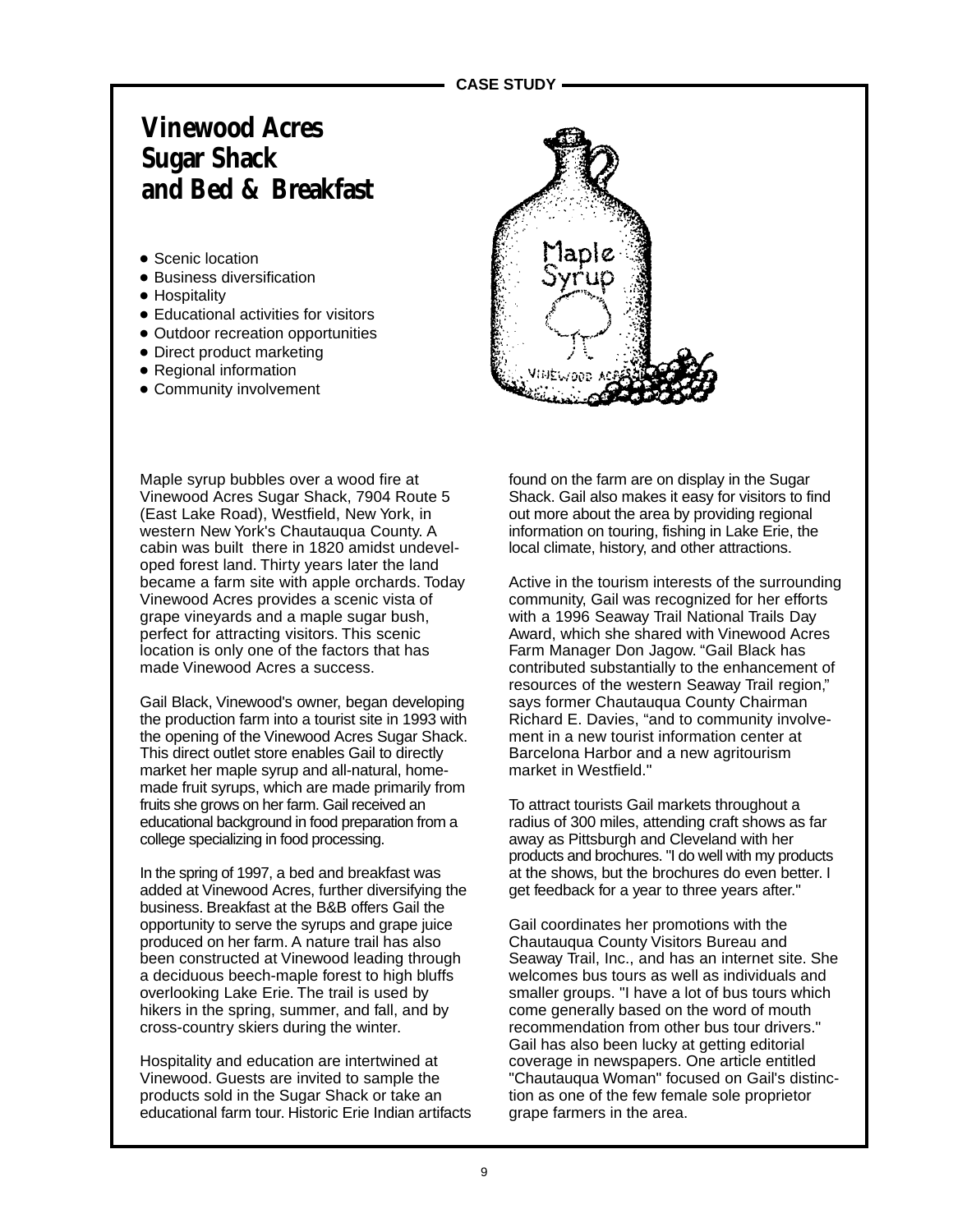## **Vinewood Acres Sugar Shack and Bed & Breakfast**

- Scenic location
- Business diversification
- Hospitality
- Educational activities for visitors
- Outdoor recreation opportunities
- Direct product marketing
- Regional information
- Community involvement



Maple syrup bubbles over a wood fire at Vinewood Acres Sugar Shack, 7904 Route 5 (East Lake Road), Westfield, New York, in western New York's Chautauqua County. A cabin was built there in 1820 amidst undeveloped forest land. Thirty years later the land became a farm site with apple orchards. Today Vinewood Acres provides a scenic vista of grape vineyards and a maple sugar bush, perfect for attracting visitors. This scenic location is only one of the factors that has made Vinewood Acres a success.

Gail Black, Vinewood's owner, began developing the production farm into a tourist site in 1993 with the opening of the Vinewood Acres Sugar Shack. This direct outlet store enables Gail to directly market her maple syrup and all-natural, homemade fruit syrups, which are made primarily from fruits she grows on her farm. Gail received an educational background in food preparation from a college specializing in food processing.

In the spring of 1997, a bed and breakfast was added at Vinewood Acres, further diversifying the business. Breakfast at the B&B offers Gail the opportunity to serve the syrups and grape juice produced on her farm. A nature trail has also been constructed at Vinewood leading through a deciduous beech-maple forest to high bluffs overlooking Lake Erie. The trail is used by hikers in the spring, summer, and fall, and by cross-country skiers during the winter.

Hospitality and education are intertwined at Vinewood. Guests are invited to sample the products sold in the Sugar Shack or take an educational farm tour. Historic Erie Indian artifacts found on the farm are on display in the Sugar Shack. Gail also makes it easy for visitors to find out more about the area by providing regional information on touring, fishing in Lake Erie, the local climate, history, and other attractions.

Active in the tourism interests of the surrounding community, Gail was recognized for her efforts with a 1996 Seaway Trail National Trails Day Award, which she shared with Vinewood Acres Farm Manager Don Jagow. "Gail Black has contributed substantially to the enhancement of resources of the western Seaway Trail region," says former Chautauqua County Chairman Richard E. Davies, "and to community involvement in a new tourist information center at Barcelona Harbor and a new agritourism market in Westfield."

To attract tourists Gail markets throughout a radius of 300 miles, attending craft shows as far away as Pittsburgh and Cleveland with her products and brochures. "I do well with my products at the shows, but the brochures do even better. I get feedback for a year to three years after."

Gail coordinates her promotions with the Chautauqua County Visitors Bureau and Seaway Trail, Inc., and has an internet site. She welcomes bus tours as well as individuals and smaller groups. "I have a lot of bus tours which come generally based on the word of mouth recommendation from other bus tour drivers." Gail has also been lucky at getting editorial coverage in newspapers. One article entitled "Chautauqua Woman" focused on Gail's distinction as one of the few female sole proprietor grape farmers in the area.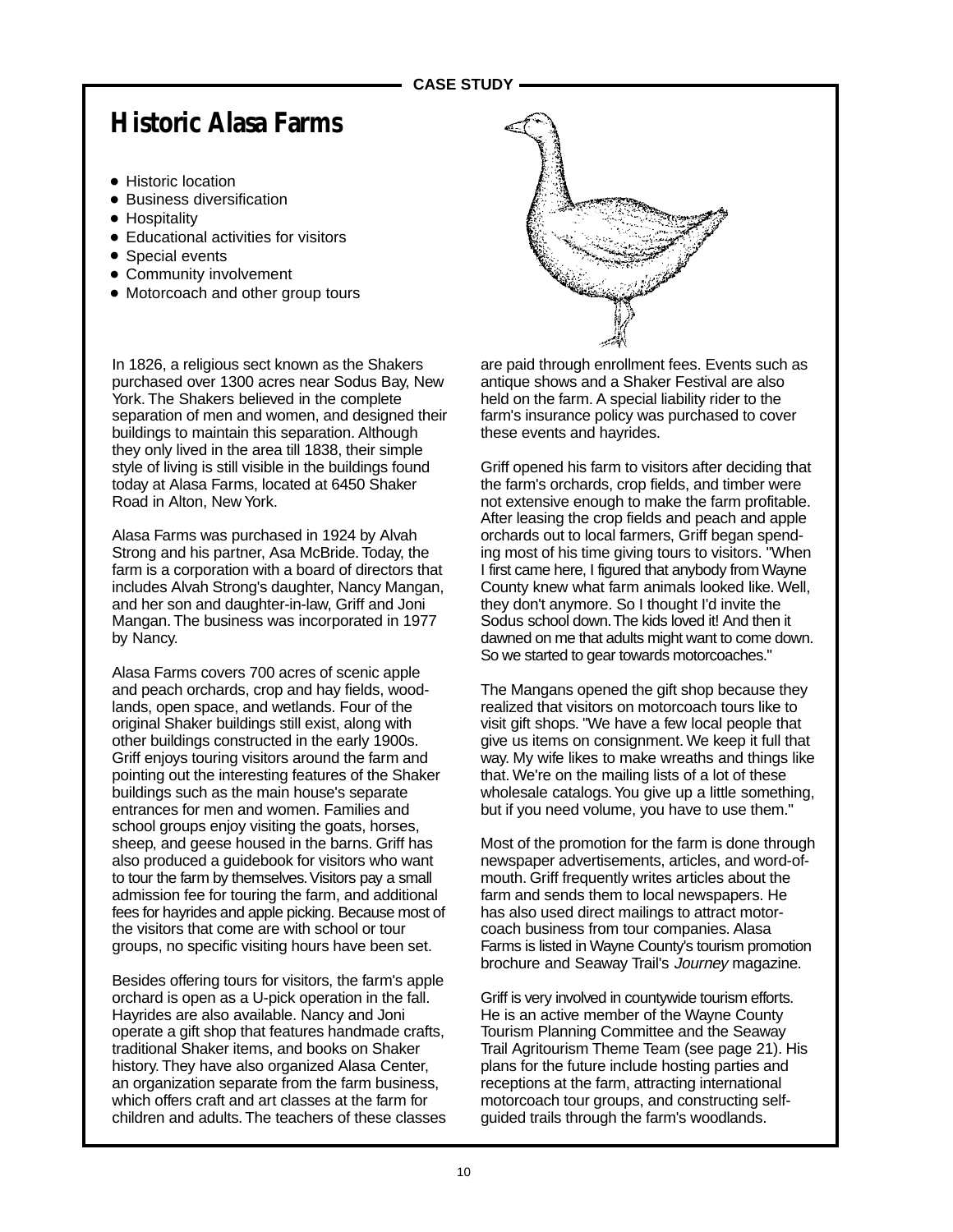### **CASE STUDY**

# **Historic Alasa Farms**

- Historic location
- Business diversification
- Hospitality
- Educational activities for visitors
- Special events
- Community involvement
- Motorcoach and other group tours

In 1826, a religious sect known as the Shakers purchased over 1300 acres near Sodus Bay, New York. The Shakers believed in the complete separation of men and women, and designed their buildings to maintain this separation. Although they only lived in the area till 1838, their simple style of living is still visible in the buildings found today at Alasa Farms, located at 6450 Shaker Road in Alton, New York.

Alasa Farms was purchased in 1924 by Alvah Strong and his partner, Asa McBride. Today, the farm is a corporation with a board of directors that includes Alvah Strong's daughter, Nancy Mangan, and her son and daughter-in-law, Griff and Joni Mangan. The business was incorporated in 1977 by Nancy.

Alasa Farms covers 700 acres of scenic apple and peach orchards, crop and hay fields, woodlands, open space, and wetlands. Four of the original Shaker buildings still exist, along with other buildings constructed in the early 1900s. Griff enjoys touring visitors around the farm and pointing out the interesting features of the Shaker buildings such as the main house's separate entrances for men and women. Families and school groups enjoy visiting the goats, horses, sheep, and geese housed in the barns. Griff has also produced a guidebook for visitors who want to tour the farm by themselves. Visitors pay a small admission fee for touring the farm, and additional fees for hayrides and apple picking. Because most of the visitors that come are with school or tour groups, no specific visiting hours have been set.

Besides offering tours for visitors, the farm's apple orchard is open as a U-pick operation in the fall. Hayrides are also available. Nancy and Joni operate a gift shop that features handmade crafts, traditional Shaker items, and books on Shaker history. They have also organized Alasa Center, an organization separate from the farm business, which offers craft and art classes at the farm for children and adults. The teachers of these classes



are paid through enrollment fees. Events such as antique shows and a Shaker Festival are also held on the farm. A special liability rider to the farm's insurance policy was purchased to cover these events and hayrides.

Griff opened his farm to visitors after deciding that the farm's orchards, crop fields, and timber were not extensive enough to make the farm profitable. After leasing the crop fields and peach and apple orchards out to local farmers, Griff began spending most of his time giving tours to visitors. "When I first came here, I figured that anybody from Wayne County knew what farm animals looked like. Well, they don't anymore. So I thought I'd invite the Sodus school down. The kids loved it! And then it dawned on me that adults might want to come down. So we started to gear towards motorcoaches."

The Mangans opened the gift shop because they realized that visitors on motorcoach tours like to visit gift shops. "We have a few local people that give us items on consignment. We keep it full that way. My wife likes to make wreaths and things like that. We're on the mailing lists of a lot of these wholesale catalogs. You give up a little something, but if you need volume, you have to use them."

Most of the promotion for the farm is done through newspaper advertisements, articles, and word-ofmouth. Griff frequently writes articles about the farm and sends them to local newspapers. He has also used direct mailings to attract motorcoach business from tour companies. Alasa Farms is listed in Wayne County's tourism promotion brochure and Seaway Trail's Journey magazine.

Griff is very involved in countywide tourism efforts. He is an active member of the Wayne County Tourism Planning Committee and the Seaway Trail Agritourism Theme Team (see page 21). His plans for the future include hosting parties and receptions at the farm, attracting international motorcoach tour groups, and constructing selfguided trails through the farm's woodlands.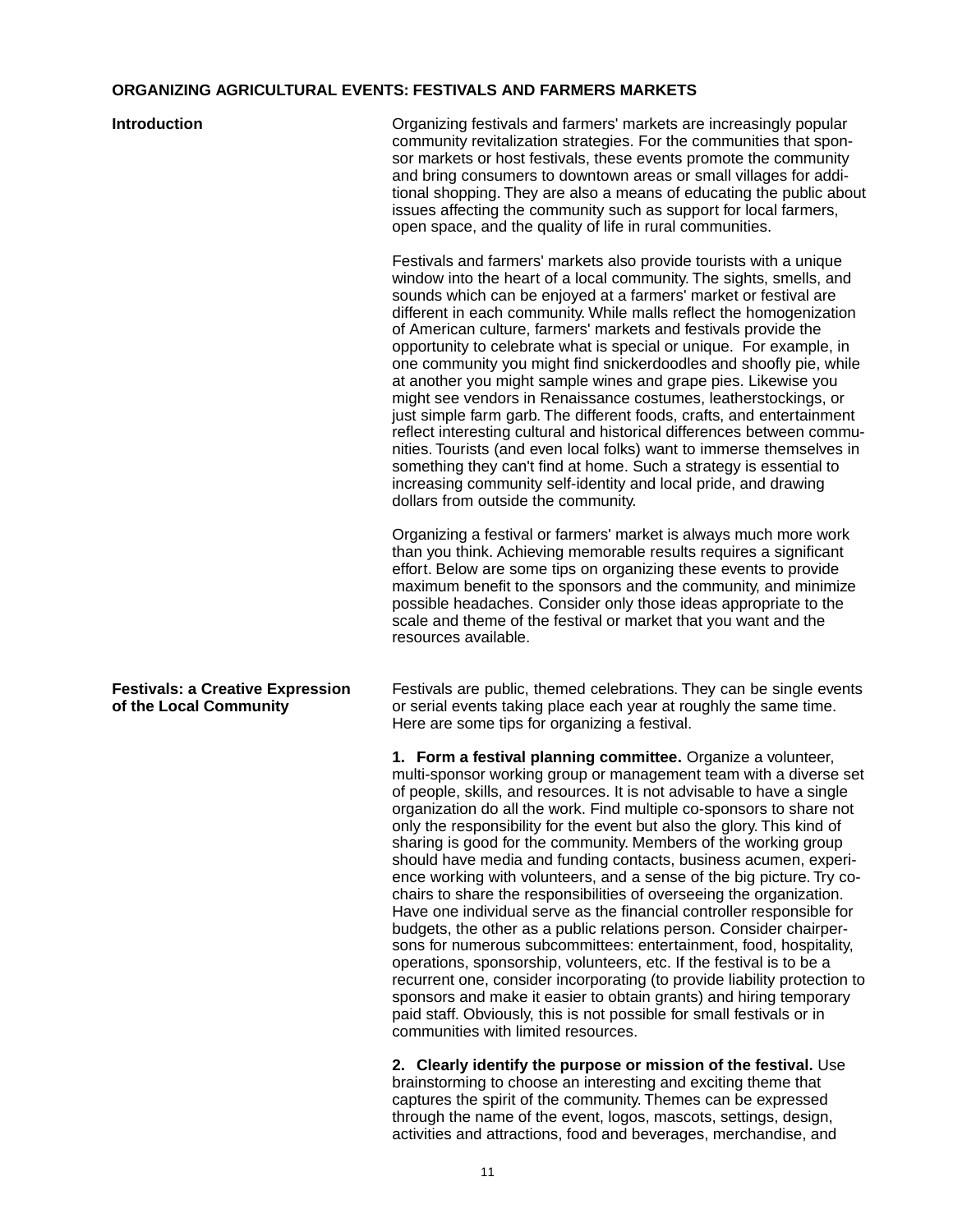### **ORGANIZING AGRICULTURAL EVENTS: FESTIVALS AND FARMERS MARKETS**

### **Introduction Introduction Organizing festivals and farmers' markets are increasingly popular** community revitalization strategies. For the communities that sponsor markets or host festivals, these events promote the community and bring consumers to downtown areas or small villages for additional shopping. They are also a means of educating the public about issues affecting the community such as support for local farmers, open space, and the quality of life in rural communities. Festivals and farmers' markets also provide tourists with a unique window into the heart of a local community. The sights, smells, and sounds which can be enjoyed at a farmers' market or festival are different in each community. While malls reflect the homogenization of American culture, farmers' markets and festivals provide the opportunity to celebrate what is special or unique. For example, in one community you might find snickerdoodles and shoofly pie, while at another you might sample wines and grape pies. Likewise you might see vendors in Renaissance costumes, leatherstockings, or just simple farm garb. The different foods, crafts, and entertainment reflect interesting cultural and historical differences between communities. Tourists (and even local folks) want to immerse themselves in something they can't find at home. Such a strategy is essential to increasing community self-identity and local pride, and drawing dollars from outside the community. Organizing a festival or farmers' market is always much more work than you think. Achieving memorable results requires a significant effort. Below are some tips on organizing these events to provide maximum benefit to the sponsors and the community, and minimize possible headaches. Consider only those ideas appropriate to the scale and theme of the festival or market that you want and the resources available. **Festivals: a Creative Expression** Festivals are public, themed celebrations. They can be single events **of the Local Community** or serial events taking place each year at roughly the same time. Here are some tips for organizing a festival. **1. Form a festival planning committee.** Organize a volunteer, multi-sponsor working group or management team with a diverse set of people, skills, and resources. It is not advisable to have a single organization do all the work. Find multiple co-sponsors to share not only the responsibility for the event but also the glory. This kind of sharing is good for the community. Members of the working group should have media and funding contacts, business acumen, experience working with volunteers, and a sense of the big picture. Try cochairs to share the responsibilities of overseeing the organization. Have one individual serve as the financial controller responsible for budgets, the other as a public relations person. Consider chairpersons for numerous subcommittees: entertainment, food, hospitality, operations, sponsorship, volunteers, etc. If the festival is to be a recurrent one, consider incorporating (to provide liability protection to sponsors and make it easier to obtain grants) and hiring temporary

**2. Clearly identify the purpose or mission of the festival.** Use brainstorming to choose an interesting and exciting theme that captures the spirit of the community. Themes can be expressed through the name of the event, logos, mascots, settings, design, activities and attractions, food and beverages, merchandise, and

paid staff. Obviously, this is not possible for small festivals or in

communities with limited resources.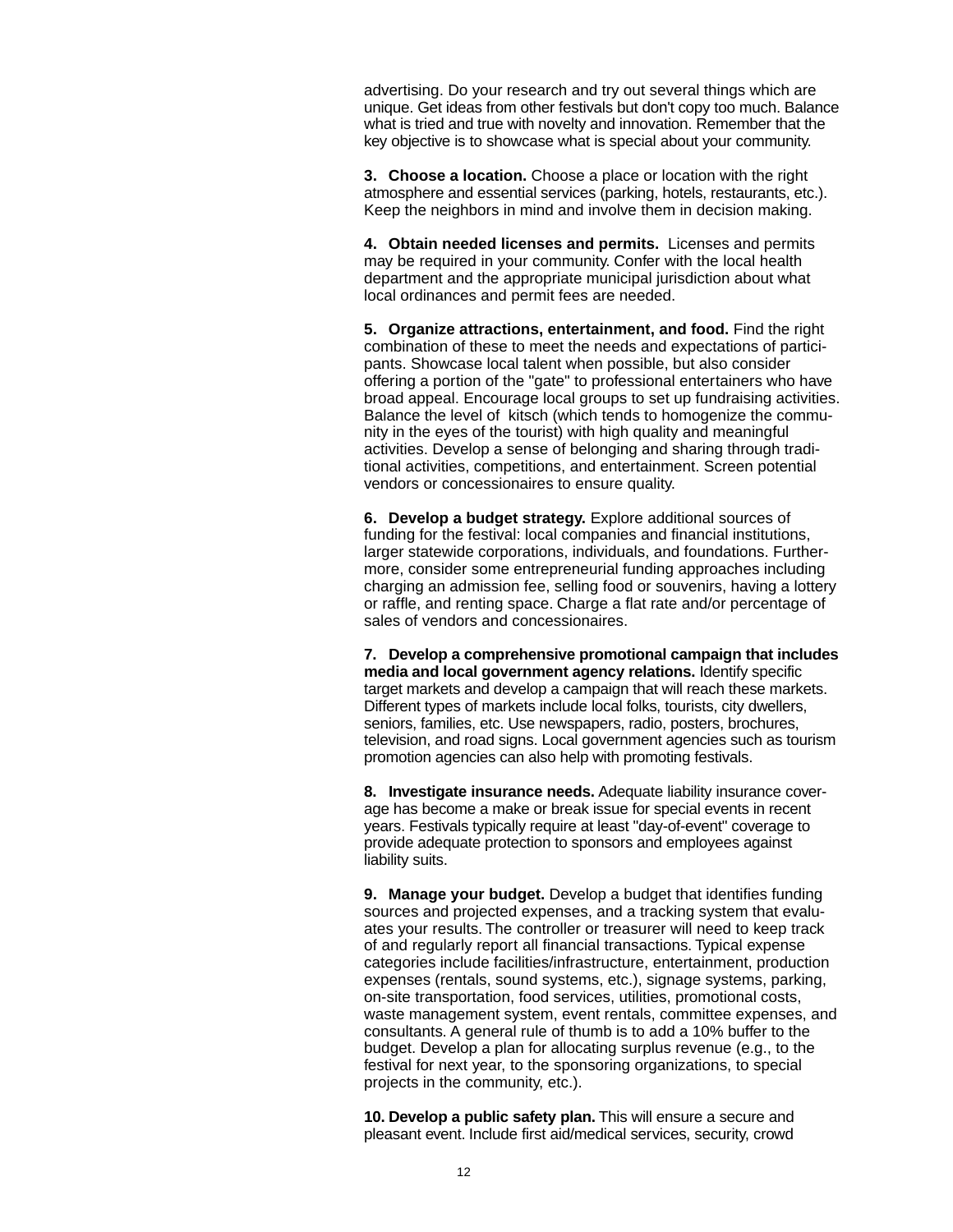advertising. Do your research and try out several things which are unique. Get ideas from other festivals but don't copy too much. Balance what is tried and true with novelty and innovation. Remember that the key objective is to showcase what is special about your community.

**3. Choose a location.** Choose a place or location with the right atmosphere and essential services (parking, hotels, restaurants, etc.). Keep the neighbors in mind and involve them in decision making.

**4. Obtain needed licenses and permits.** Licenses and permits may be required in your community. Confer with the local health department and the appropriate municipal jurisdiction about what local ordinances and permit fees are needed.

**5. Organize attractions, entertainment, and food.** Find the right combination of these to meet the needs and expectations of participants. Showcase local talent when possible, but also consider offering a portion of the "gate" to professional entertainers who have broad appeal. Encourage local groups to set up fundraising activities. Balance the level of kitsch (which tends to homogenize the community in the eyes of the tourist) with high quality and meaningful activities. Develop a sense of belonging and sharing through traditional activities, competitions, and entertainment. Screen potential vendors or concessionaires to ensure quality.

**6. Develop a budget strategy.** Explore additional sources of funding for the festival: local companies and financial institutions, larger statewide corporations, individuals, and foundations. Furthermore, consider some entrepreneurial funding approaches including charging an admission fee, selling food or souvenirs, having a lottery or raffle, and renting space. Charge a flat rate and/or percentage of sales of vendors and concessionaires.

**7. Develop a comprehensive promotional campaign that includes media and local government agency relations.** Identify specific target markets and develop a campaign that will reach these markets. Different types of markets include local folks, tourists, city dwellers, seniors, families, etc. Use newspapers, radio, posters, brochures, television, and road signs. Local government agencies such as tourism promotion agencies can also help with promoting festivals.

**8. Investigate insurance needs.** Adequate liability insurance coverage has become a make or break issue for special events in recent years. Festivals typically require at least "day-of-event" coverage to provide adequate protection to sponsors and employees against liability suits.

**9. Manage your budget.** Develop a budget that identifies funding sources and projected expenses, and a tracking system that evaluates your results. The controller or treasurer will need to keep track of and regularly report all financial transactions. Typical expense categories include facilities/infrastructure, entertainment, production expenses (rentals, sound systems, etc.), signage systems, parking, on-site transportation, food services, utilities, promotional costs, waste management system, event rentals, committee expenses, and consultants. A general rule of thumb is to add a 10% buffer to the budget. Develop a plan for allocating surplus revenue (e.g., to the festival for next year, to the sponsoring organizations, to special projects in the community, etc.).

**10. Develop a public safety plan.** This will ensure a secure and pleasant event. Include first aid/medical services, security, crowd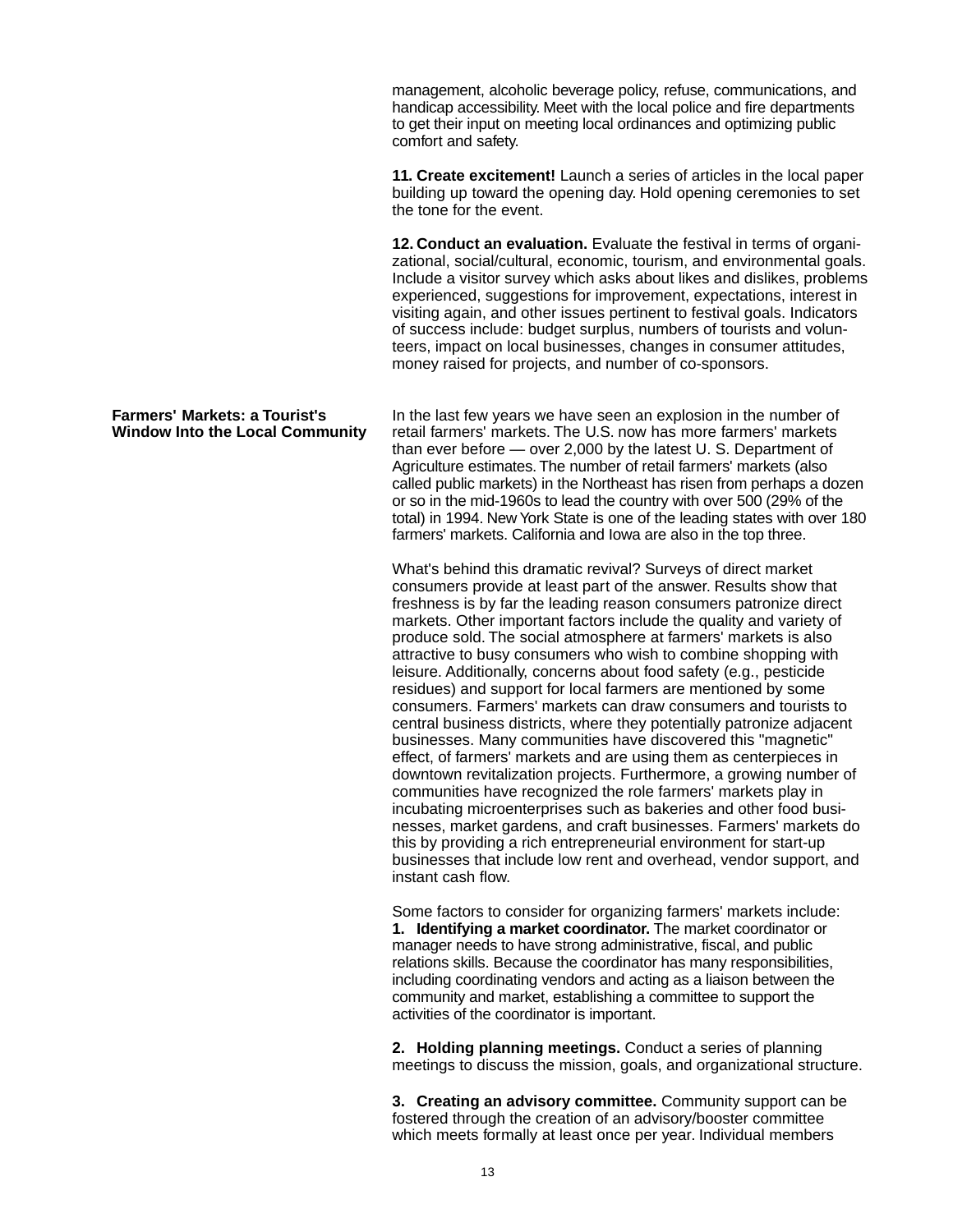management, alcoholic beverage policy, refuse, communications, and handicap accessibility. Meet with the local police and fire departments to get their input on meeting local ordinances and optimizing public comfort and safety.

**11. Create excitement!** Launch a series of articles in the local paper building up toward the opening day. Hold opening ceremonies to set the tone for the event.

**12. Conduct an evaluation.** Evaluate the festival in terms of organizational, social/cultural, economic, tourism, and environmental goals. Include a visitor survey which asks about likes and dislikes, problems experienced, suggestions for improvement, expectations, interest in visiting again, and other issues pertinent to festival goals. Indicators of success include: budget surplus, numbers of tourists and volunteers, impact on local businesses, changes in consumer attitudes, money raised for projects, and number of co-sponsors.

**Farmers' Markets: a Tourist's** In the last few years we have seen an explosion in the number of **Window Into the Local Community** retail farmers' markets **Window Into the Local Community** retail farmers' markets retail farmers' markets. The U.S. now has more farmers' markets. than ever before — over 2,000 by the latest U. S. Department of Agriculture estimates. The number of retail farmers' markets (also called public markets) in the Northeast has risen from perhaps a dozen or so in the mid-1960s to lead the country with over 500 (29% of the total) in 1994. New York State is one of the leading states with over 180 farmers' markets. California and Iowa are also in the top three.

> What's behind this dramatic revival? Surveys of direct market consumers provide at least part of the answer. Results show that freshness is by far the leading reason consumers patronize direct markets. Other important factors include the quality and variety of produce sold. The social atmosphere at farmers' markets is also attractive to busy consumers who wish to combine shopping with leisure. Additionally, concerns about food safety (e.g., pesticide residues) and support for local farmers are mentioned by some consumers. Farmers' markets can draw consumers and tourists to central business districts, where they potentially patronize adjacent businesses. Many communities have discovered this "magnetic" effect, of farmers' markets and are using them as centerpieces in downtown revitalization projects. Furthermore, a growing number of communities have recognized the role farmers' markets play in incubating microenterprises such as bakeries and other food businesses, market gardens, and craft businesses. Farmers' markets do this by providing a rich entrepreneurial environment for start-up businesses that include low rent and overhead, vendor support, and instant cash flow.

Some factors to consider for organizing farmers' markets include: **1. Identifying a market coordinator.** The market coordinator or manager needs to have strong administrative, fiscal, and public relations skills. Because the coordinator has many responsibilities, including coordinating vendors and acting as a liaison between the community and market, establishing a committee to support the activities of the coordinator is important.

**2. Holding planning meetings.** Conduct a series of planning meetings to discuss the mission, goals, and organizational structure.

**3. Creating an advisory committee.** Community support can be fostered through the creation of an advisory/booster committee which meets formally at least once per year. Individual members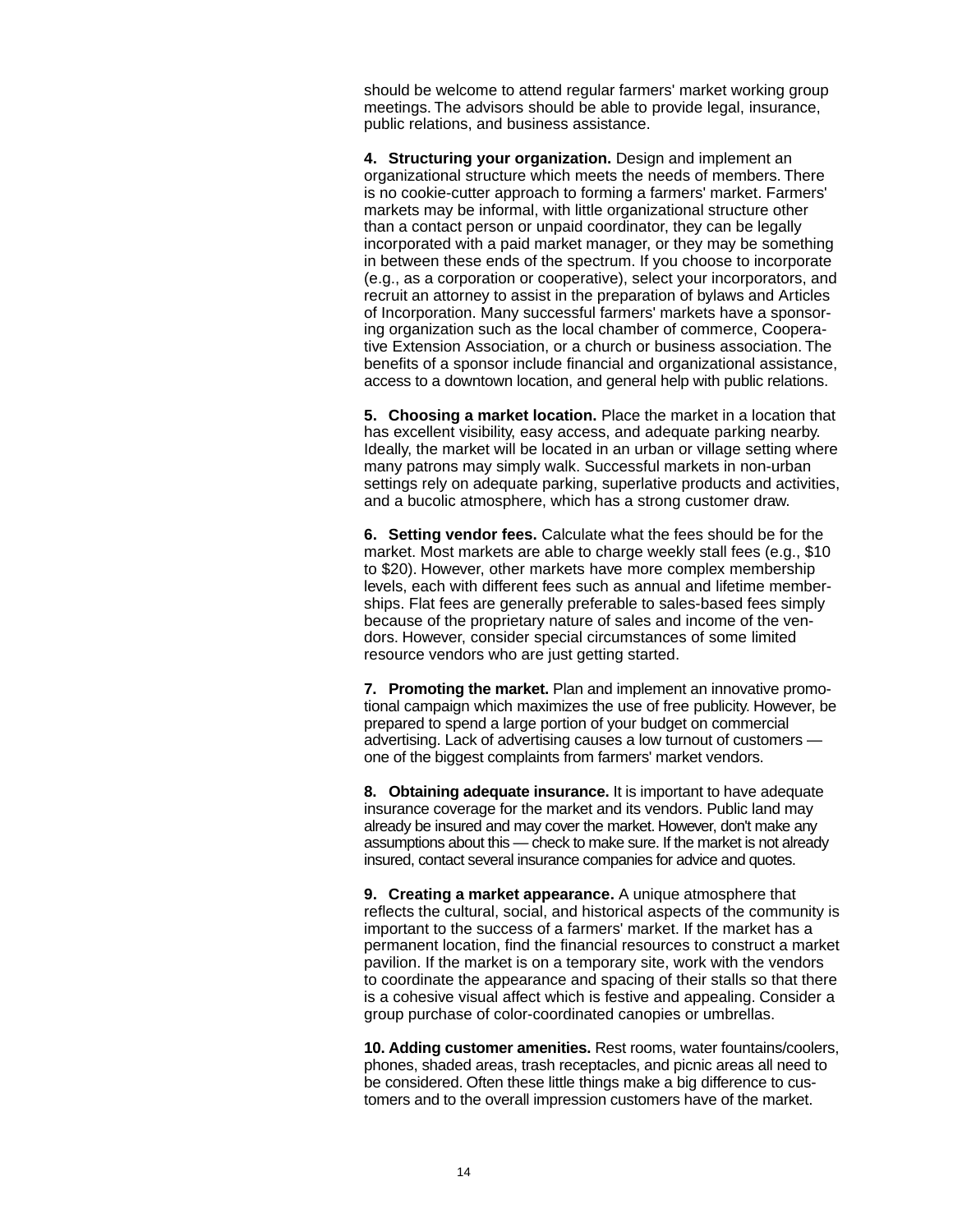should be welcome to attend regular farmers' market working group meetings. The advisors should be able to provide legal, insurance, public relations, and business assistance.

**4. Structuring your organization.** Design and implement an organizational structure which meets the needs of members. There is no cookie-cutter approach to forming a farmers' market. Farmers' markets may be informal, with little organizational structure other than a contact person or unpaid coordinator, they can be legally incorporated with a paid market manager, or they may be something in between these ends of the spectrum. If you choose to incorporate (e.g., as a corporation or cooperative), select your incorporators, and recruit an attorney to assist in the preparation of bylaws and Articles of Incorporation. Many successful farmers' markets have a sponsoring organization such as the local chamber of commerce, Cooperative Extension Association, or a church or business association. The benefits of a sponsor include financial and organizational assistance, access to a downtown location, and general help with public relations.

**5. Choosing a market location.** Place the market in a location that has excellent visibility, easy access, and adequate parking nearby. Ideally, the market will be located in an urban or village setting where many patrons may simply walk. Successful markets in non-urban settings rely on adequate parking, superlative products and activities, and a bucolic atmosphere, which has a strong customer draw.

**6. Setting vendor fees.** Calculate what the fees should be for the market. Most markets are able to charge weekly stall fees (e.g., \$10 to \$20). However, other markets have more complex membership levels, each with different fees such as annual and lifetime memberships. Flat fees are generally preferable to sales-based fees simply because of the proprietary nature of sales and income of the vendors. However, consider special circumstances of some limited resource vendors who are just getting started.

**7. Promoting the market.** Plan and implement an innovative promotional campaign which maximizes the use of free publicity. However, be prepared to spend a large portion of your budget on commercial advertising. Lack of advertising causes a low turnout of customers one of the biggest complaints from farmers' market vendors.

**8. Obtaining adequate insurance.** It is important to have adequate insurance coverage for the market and its vendors. Public land may already be insured and may cover the market. However, don't make any assumptions about this — check to make sure. If the market is not already insured, contact several insurance companies for advice and quotes.

**9. Creating a market appearance.** A unique atmosphere that reflects the cultural, social, and historical aspects of the community is important to the success of a farmers' market. If the market has a permanent location, find the financial resources to construct a market pavilion. If the market is on a temporary site, work with the vendors to coordinate the appearance and spacing of their stalls so that there is a cohesive visual affect which is festive and appealing. Consider a group purchase of color-coordinated canopies or umbrellas.

**10. Adding customer amenities.** Rest rooms, water fountains/coolers, phones, shaded areas, trash receptacles, and picnic areas all need to be considered. Often these little things make a big difference to customers and to the overall impression customers have of the market.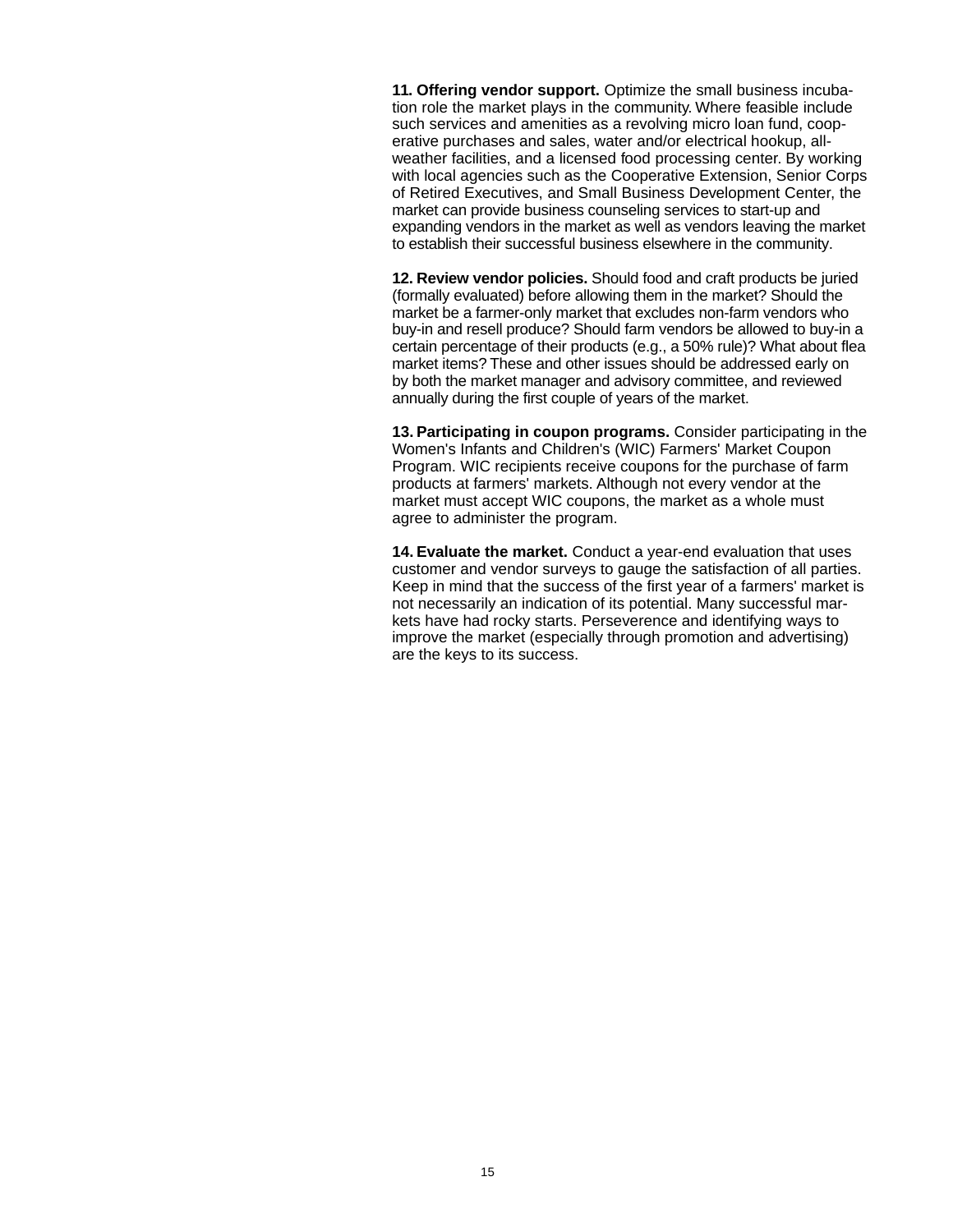**11. Offering vendor support.** Optimize the small business incubation role the market plays in the community. Where feasible include such services and amenities as a revolving micro loan fund, cooperative purchases and sales, water and/or electrical hookup, allweather facilities, and a licensed food processing center. By working with local agencies such as the Cooperative Extension, Senior Corps of Retired Executives, and Small Business Development Center, the market can provide business counseling services to start-up and expanding vendors in the market as well as vendors leaving the market to establish their successful business elsewhere in the community.

**12. Review vendor policies.** Should food and craft products be juried (formally evaluated) before allowing them in the market? Should the market be a farmer-only market that excludes non-farm vendors who buy-in and resell produce? Should farm vendors be allowed to buy-in a certain percentage of their products (e.g., a 50% rule)? What about flea market items? These and other issues should be addressed early on by both the market manager and advisory committee, and reviewed annually during the first couple of years of the market.

**13. Participating in coupon programs.** Consider participating in the Women's Infants and Children's (WIC) Farmers' Market Coupon Program. WIC recipients receive coupons for the purchase of farm products at farmers' markets. Although not every vendor at the market must accept WIC coupons, the market as a whole must agree to administer the program.

**14. Evaluate the market.** Conduct a year-end evaluation that uses customer and vendor surveys to gauge the satisfaction of all parties. Keep in mind that the success of the first year of a farmers' market is not necessarily an indication of its potential. Many successful markets have had rocky starts. Perseverence and identifying ways to improve the market (especially through promotion and advertising) are the keys to its success.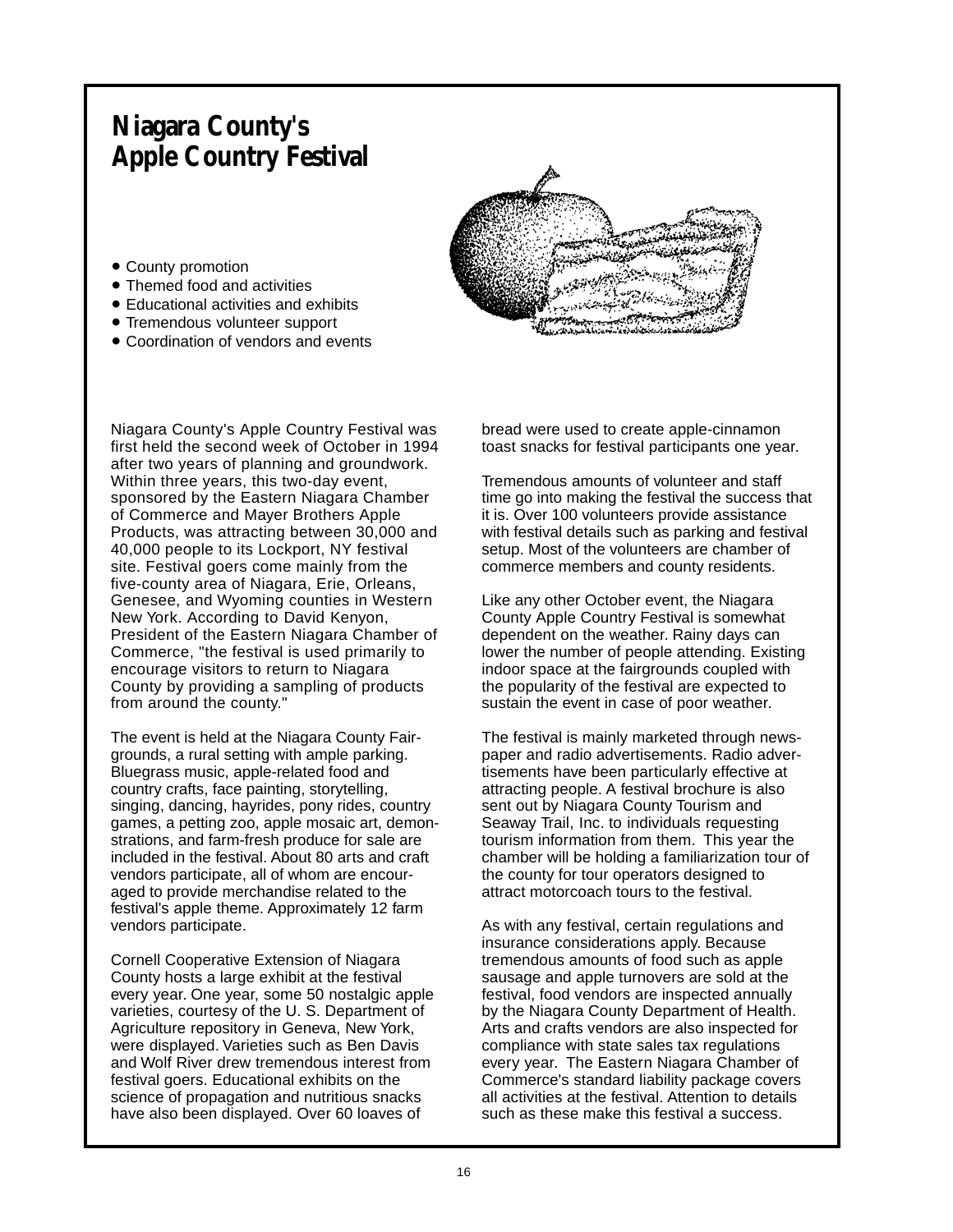# **Niagara County's Apple Country Festival**

- County promotion
- Themed food and activities
- Educational activities and exhibits
- Tremendous volunteer support
- Coordination of vendors and events



Niagara County's Apple Country Festival was first held the second week of October in 1994 after two years of planning and groundwork. Within three years, this two-day event, sponsored by the Eastern Niagara Chamber of Commerce and Mayer Brothers Apple Products, was attracting between 30,000 and 40,000 people to its Lockport, NY festival site. Festival goers come mainly from the five-county area of Niagara, Erie, Orleans, Genesee, and Wyoming counties in Western New York. According to David Kenyon, President of the Eastern Niagara Chamber of Commerce, "the festival is used primarily to encourage visitors to return to Niagara County by providing a sampling of products from around the county."

The event is held at the Niagara County Fairgrounds, a rural setting with ample parking. Bluegrass music, apple-related food and country crafts, face painting, storytelling, singing, dancing, hayrides, pony rides, country games, a petting zoo, apple mosaic art, demonstrations, and farm-fresh produce for sale are included in the festival. About 80 arts and craft vendors participate, all of whom are encouraged to provide merchandise related to the festival's apple theme. Approximately 12 farm vendors participate.

Cornell Cooperative Extension of Niagara County hosts a large exhibit at the festival every year. One year, some 50 nostalgic apple varieties, courtesy of the U. S. Department of Agriculture repository in Geneva, New York, were displayed. Varieties such as Ben Davis and Wolf River drew tremendous interest from festival goers. Educational exhibits on the science of propagation and nutritious snacks have also been displayed. Over 60 loaves of

bread were used to create apple-cinnamon toast snacks for festival participants one year.

Tremendous amounts of volunteer and staff time go into making the festival the success that it is. Over 100 volunteers provide assistance with festival details such as parking and festival setup. Most of the volunteers are chamber of commerce members and county residents.

Like any other October event, the Niagara County Apple Country Festival is somewhat dependent on the weather. Rainy days can lower the number of people attending. Existing indoor space at the fairgrounds coupled with the popularity of the festival are expected to sustain the event in case of poor weather.

The festival is mainly marketed through newspaper and radio advertisements. Radio advertisements have been particularly effective at attracting people. A festival brochure is also sent out by Niagara County Tourism and Seaway Trail, Inc. to individuals requesting tourism information from them. This year the chamber will be holding a familiarization tour of the county for tour operators designed to attract motorcoach tours to the festival.

As with any festival, certain regulations and insurance considerations apply. Because tremendous amounts of food such as apple sausage and apple turnovers are sold at the festival, food vendors are inspected annually by the Niagara County Department of Health. Arts and crafts vendors are also inspected for compliance with state sales tax regulations every year. The Eastern Niagara Chamber of Commerce's standard liability package covers all activities at the festival. Attention to details such as these make this festival a success.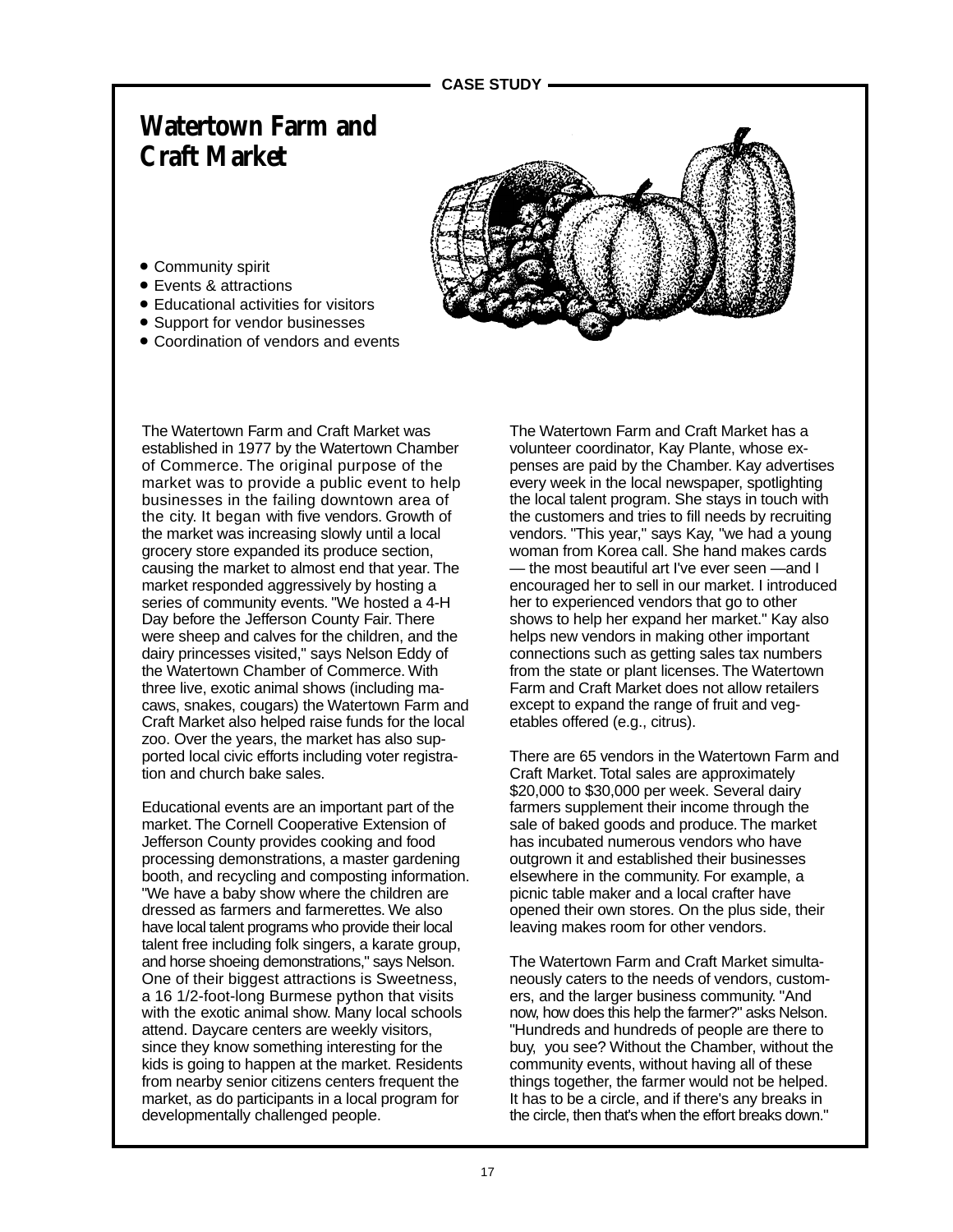## **Watertown Farm and Craft Market**

- Community spirit
- Events & attractions
- Educational activities for visitors
- Support for vendor businesses
- Coordination of vendors and events

The Watertown Farm and Craft Market was established in 1977 by the Watertown Chamber of Commerce. The original purpose of the market was to provide a public event to help businesses in the failing downtown area of the city. It began with five vendors. Growth of the market was increasing slowly until a local grocery store expanded its produce section, causing the market to almost end that year. The market responded aggressively by hosting a series of community events. "We hosted a 4-H Day before the Jefferson County Fair. There were sheep and calves for the children, and the dairy princesses visited," says Nelson Eddy of the Watertown Chamber of Commerce. With three live, exotic animal shows (including macaws, snakes, cougars) the Watertown Farm and Craft Market also helped raise funds for the local zoo. Over the years, the market has also supported local civic efforts including voter registration and church bake sales.

Educational events are an important part of the market. The Cornell Cooperative Extension of Jefferson County provides cooking and food processing demonstrations, a master gardening booth, and recycling and composting information. "We have a baby show where the children are dressed as farmers and farmerettes. We also have local talent programs who provide their local talent free including folk singers, a karate group, and horse shoeing demonstrations," says Nelson. One of their biggest attractions is Sweetness, a 16 1/2-foot-long Burmese python that visits with the exotic animal show. Many local schools attend. Daycare centers are weekly visitors, since they know something interesting for the kids is going to happen at the market. Residents from nearby senior citizens centers frequent the market, as do participants in a local program for developmentally challenged people.

The Watertown Farm and Craft Market has a volunteer coordinator, Kay Plante, whose expenses are paid by the Chamber. Kay advertises every week in the local newspaper, spotlighting the local talent program. She stays in touch with the customers and tries to fill needs by recruiting vendors. "This year," says Kay, "we had a young woman from Korea call. She hand makes cards — the most beautiful art I've ever seen —and I encouraged her to sell in our market. I introduced her to experienced vendors that go to other shows to help her expand her market." Kay also helps new vendors in making other important connections such as getting sales tax numbers from the state or plant licenses. The Watertown Farm and Craft Market does not allow retailers except to expand the range of fruit and vegetables offered (e.g., citrus).

There are 65 vendors in the Watertown Farm and Craft Market. Total sales are approximately \$20,000 to \$30,000 per week. Several dairy farmers supplement their income through the sale of baked goods and produce. The market has incubated numerous vendors who have outgrown it and established their businesses elsewhere in the community. For example, a picnic table maker and a local crafter have opened their own stores. On the plus side, their leaving makes room for other vendors.

The Watertown Farm and Craft Market simultaneously caters to the needs of vendors, customers, and the larger business community. "And now, how does this help the farmer?" asks Nelson. "Hundreds and hundreds of people are there to buy, you see? Without the Chamber, without the community events, without having all of these things together, the farmer would not be helped. It has to be a circle, and if there's any breaks in the circle, then that's when the effort breaks down."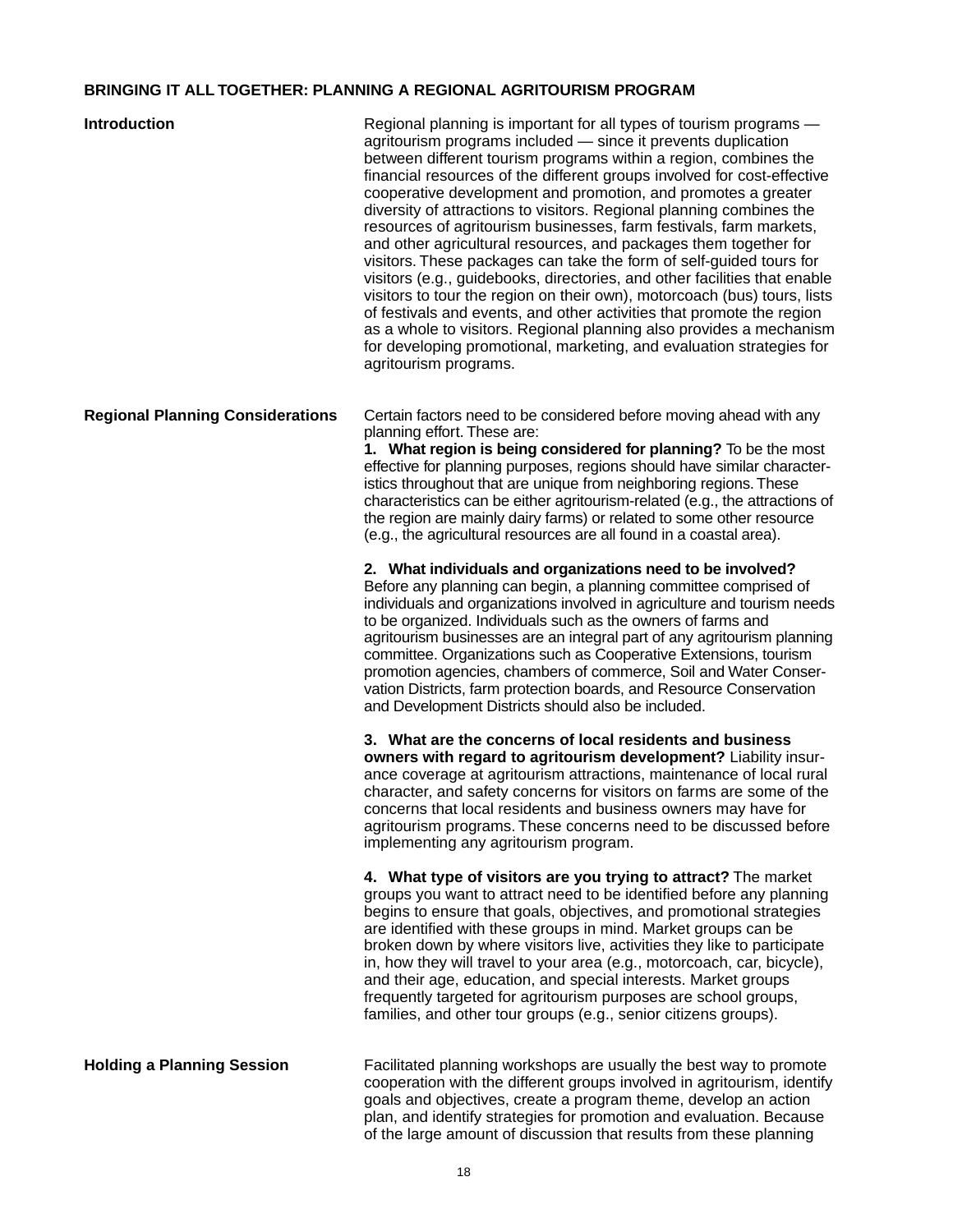## **BRINGING IT ALL TOGETHER: PLANNING A REGIONAL AGRITOURISM PROGRAM**

| <b>Introduction</b>                     | Regional planning is important for all types of tourism programs -<br>agritourism programs included - since it prevents duplication<br>between different tourism programs within a region, combines the<br>financial resources of the different groups involved for cost-effective<br>cooperative development and promotion, and promotes a greater<br>diversity of attractions to visitors. Regional planning combines the<br>resources of agritourism businesses, farm festivals, farm markets,<br>and other agricultural resources, and packages them together for<br>visitors. These packages can take the form of self-guided tours for<br>visitors (e.g., guidebooks, directories, and other facilities that enable<br>visitors to tour the region on their own), motorcoach (bus) tours, lists<br>of festivals and events, and other activities that promote the region<br>as a whole to visitors. Regional planning also provides a mechanism<br>for developing promotional, marketing, and evaluation strategies for<br>agritourism programs. |
|-----------------------------------------|--------------------------------------------------------------------------------------------------------------------------------------------------------------------------------------------------------------------------------------------------------------------------------------------------------------------------------------------------------------------------------------------------------------------------------------------------------------------------------------------------------------------------------------------------------------------------------------------------------------------------------------------------------------------------------------------------------------------------------------------------------------------------------------------------------------------------------------------------------------------------------------------------------------------------------------------------------------------------------------------------------------------------------------------------------|
| <b>Regional Planning Considerations</b> | Certain factors need to be considered before moving ahead with any<br>planning effort. These are:<br>1. What region is being considered for planning? To be the most<br>effective for planning purposes, regions should have similar character-<br>istics throughout that are unique from neighboring regions. These<br>characteristics can be either agritourism-related (e.g., the attractions of<br>the region are mainly dairy farms) or related to some other resource<br>(e.g., the agricultural resources are all found in a coastal area).                                                                                                                                                                                                                                                                                                                                                                                                                                                                                                     |
|                                         | 2. What individuals and organizations need to be involved?<br>Before any planning can begin, a planning committee comprised of<br>individuals and organizations involved in agriculture and tourism needs<br>to be organized. Individuals such as the owners of farms and<br>agritourism businesses are an integral part of any agritourism planning<br>committee. Organizations such as Cooperative Extensions, tourism<br>promotion agencies, chambers of commerce, Soil and Water Conser-<br>vation Districts, farm protection boards, and Resource Conservation<br>and Development Districts should also be included.                                                                                                                                                                                                                                                                                                                                                                                                                              |
|                                         | 3. What are the concerns of local residents and business<br>owners with regard to agritourism development? Liability insur-<br>ance coverage at agritourism attractions, maintenance of local rural<br>character, and safety concerns for visitors on farms are some of the<br>concerns that local residents and business owners may have for<br>agritourism programs. These concerns need to be discussed before<br>implementing any agritourism program.                                                                                                                                                                                                                                                                                                                                                                                                                                                                                                                                                                                             |
|                                         | 4. What type of visitors are you trying to attract? The market<br>groups you want to attract need to be identified before any planning<br>begins to ensure that goals, objectives, and promotional strategies<br>are identified with these groups in mind. Market groups can be<br>broken down by where visitors live, activities they like to participate<br>in, how they will travel to your area (e.g., motorcoach, car, bicycle),<br>and their age, education, and special interests. Market groups<br>frequently targeted for agritourism purposes are school groups,<br>families, and other tour groups (e.g., senior citizens groups).                                                                                                                                                                                                                                                                                                                                                                                                          |
| <b>Holding a Planning Session</b>       | Facilitated planning workshops are usually the best way to promote<br>cooperation with the different groups involved in agritourism, identify<br>goals and objectives, create a program theme, develop an action<br>plan, and identify strategies for promotion and evaluation. Because<br>of the large amount of discussion that results from these planning                                                                                                                                                                                                                                                                                                                                                                                                                                                                                                                                                                                                                                                                                          |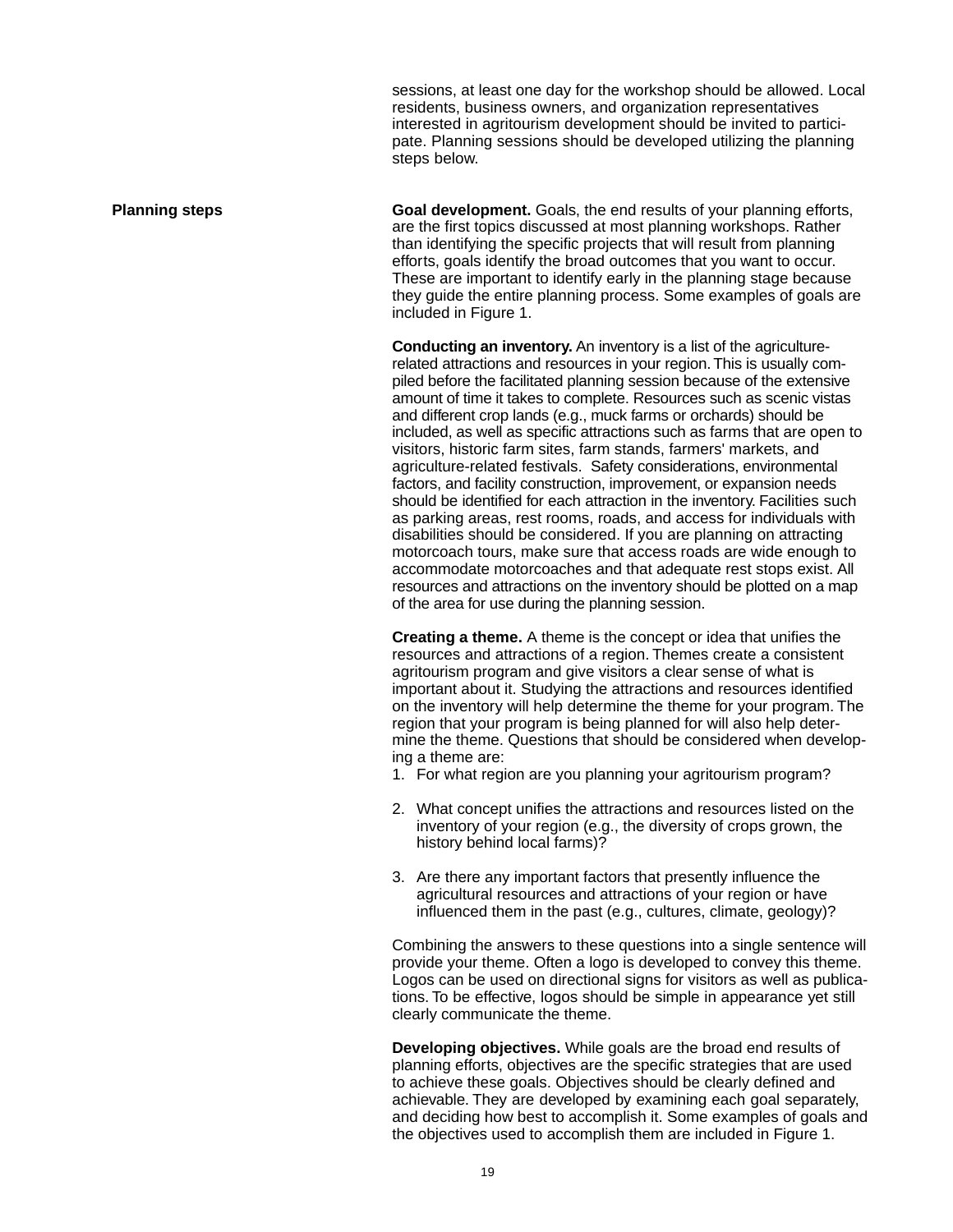sessions, at least one day for the workshop should be allowed. Local residents, business owners, and organization representatives interested in agritourism development should be invited to participate. Planning sessions should be developed utilizing the planning steps below.

**Planning steps The Goal development.** Goals, the end results of your planning efforts, are the first topics discussed at most planning workshops. Rather than identifying the specific projects that will result from planning efforts, goals identify the broad outcomes that you want to occur. These are important to identify early in the planning stage because they guide the entire planning process. Some examples of goals are included in Figure 1.

> **Conducting an inventory.** An inventory is a list of the agriculturerelated attractions and resources in your region. This is usually compiled before the facilitated planning session because of the extensive amount of time it takes to complete. Resources such as scenic vistas and different crop lands (e.g., muck farms or orchards) should be included, as well as specific attractions such as farms that are open to visitors, historic farm sites, farm stands, farmers' markets, and agriculture-related festivals. Safety considerations, environmental factors, and facility construction, improvement, or expansion needs should be identified for each attraction in the inventory. Facilities such as parking areas, rest rooms, roads, and access for individuals with disabilities should be considered. If you are planning on attracting motorcoach tours, make sure that access roads are wide enough to accommodate motorcoaches and that adequate rest stops exist. All resources and attractions on the inventory should be plotted on a map of the area for use during the planning session.

> **Creating a theme.** A theme is the concept or idea that unifies the resources and attractions of a region. Themes create a consistent agritourism program and give visitors a clear sense of what is important about it. Studying the attractions and resources identified on the inventory will help determine the theme for your program. The region that your program is being planned for will also help determine the theme. Questions that should be considered when developing a theme are:

- 1. For what region are you planning your agritourism program?
- 2. What concept unifies the attractions and resources listed on the inventory of your region (e.g., the diversity of crops grown, the history behind local farms)?
- 3. Are there any important factors that presently influence the agricultural resources and attractions of your region or have influenced them in the past (e.g., cultures, climate, geology)?

Combining the answers to these questions into a single sentence will provide your theme. Often a logo is developed to convey this theme. Logos can be used on directional signs for visitors as well as publications. To be effective, logos should be simple in appearance yet still clearly communicate the theme.

**Developing objectives.** While goals are the broad end results of planning efforts, objectives are the specific strategies that are used to achieve these goals. Objectives should be clearly defined and achievable. They are developed by examining each goal separately, and deciding how best to accomplish it. Some examples of goals and the objectives used to accomplish them are included in Figure 1.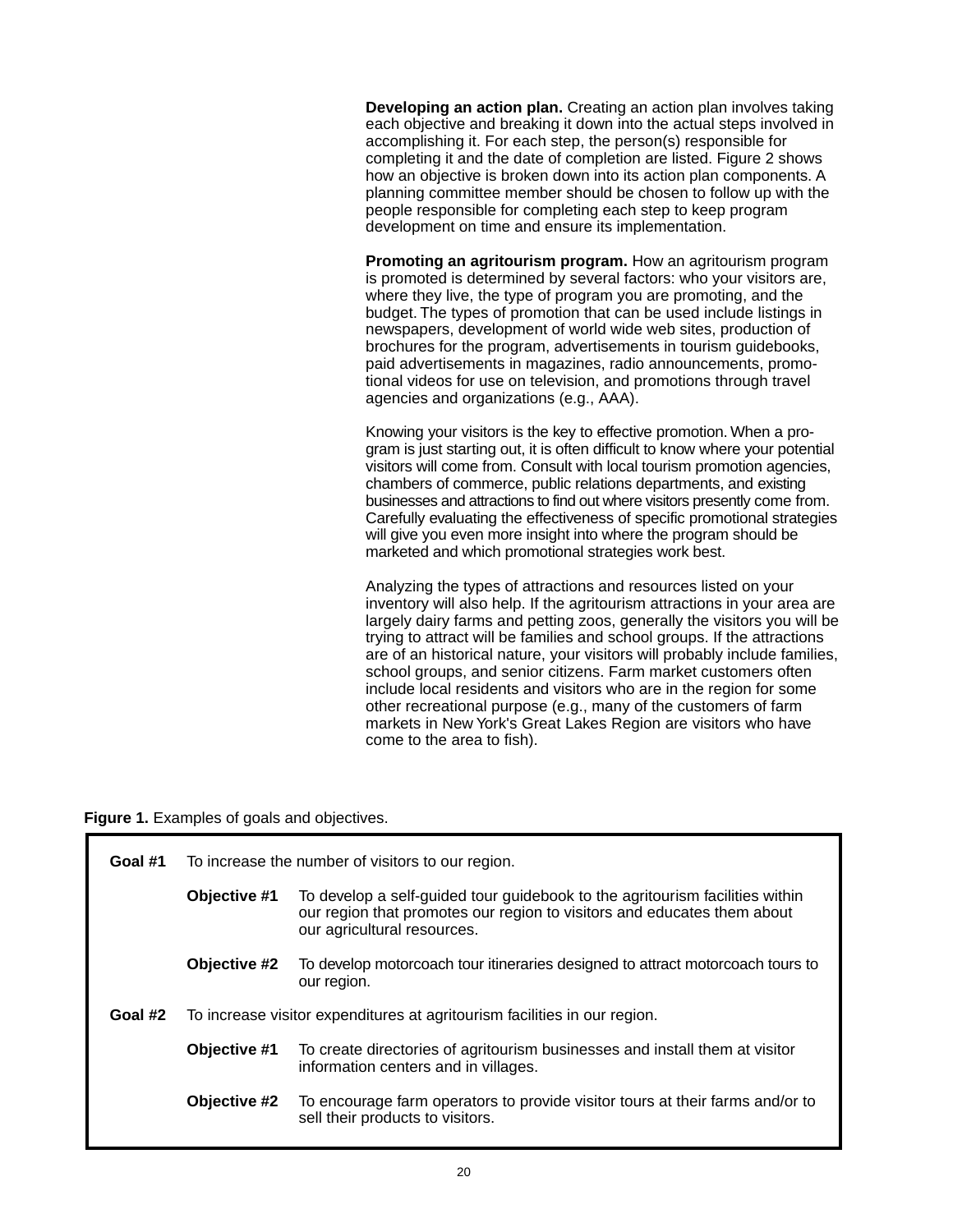**Developing an action plan.** Creating an action plan involves taking each objective and breaking it down into the actual steps involved in accomplishing it. For each step, the person(s) responsible for completing it and the date of completion are listed. Figure 2 shows how an objective is broken down into its action plan components. A planning committee member should be chosen to follow up with the people responsible for completing each step to keep program development on time and ensure its implementation.

**Promoting an agritourism program.** How an agritourism program is promoted is determined by several factors: who your visitors are, where they live, the type of program you are promoting, and the budget. The types of promotion that can be used include listings in newspapers, development of world wide web sites, production of brochures for the program, advertisements in tourism guidebooks, paid advertisements in magazines, radio announcements, promotional videos for use on television, and promotions through travel agencies and organizations (e.g., AAA).

Knowing your visitors is the key to effective promotion. When a program is just starting out, it is often difficult to know where your potential visitors will come from. Consult with local tourism promotion agencies, chambers of commerce, public relations departments, and existing businesses and attractions to find out where visitors presently come from. Carefully evaluating the effectiveness of specific promotional strategies will give you even more insight into where the program should be marketed and which promotional strategies work best.

Analyzing the types of attractions and resources listed on your inventory will also help. If the agritourism attractions in your area are largely dairy farms and petting zoos, generally the visitors you will be trying to attract will be families and school groups. If the attractions are of an historical nature, your visitors will probably include families, school groups, and senior citizens. Farm market customers often include local residents and visitors who are in the region for some other recreational purpose (e.g., many of the customers of farm markets in New York's Great Lakes Region are visitors who have come to the area to fish).

**Figure 1.** Examples of goals and objectives.

| Goal #1 | To increase the number of visitors to our region.                         |                                                                                                                                                                                        |  |  |  |
|---------|---------------------------------------------------------------------------|----------------------------------------------------------------------------------------------------------------------------------------------------------------------------------------|--|--|--|
|         | Objective #1                                                              | To develop a self-guided tour guidebook to the agritourism facilities within<br>our region that promotes our region to visitors and educates them about<br>our agricultural resources. |  |  |  |
|         | Objective #2                                                              | To develop motorcoach tour itineraries designed to attract motorcoach tours to<br>our region.                                                                                          |  |  |  |
| Goal #2 | To increase visitor expenditures at agritourism facilities in our region. |                                                                                                                                                                                        |  |  |  |
|         | Objective #1                                                              | To create directories of agritourism businesses and install them at visitor<br>information centers and in villages.                                                                    |  |  |  |
|         | <b>Objective #2</b>                                                       | To encourage farm operators to provide visitor tours at their farms and/or to<br>sell their products to visitors.                                                                      |  |  |  |
|         |                                                                           |                                                                                                                                                                                        |  |  |  |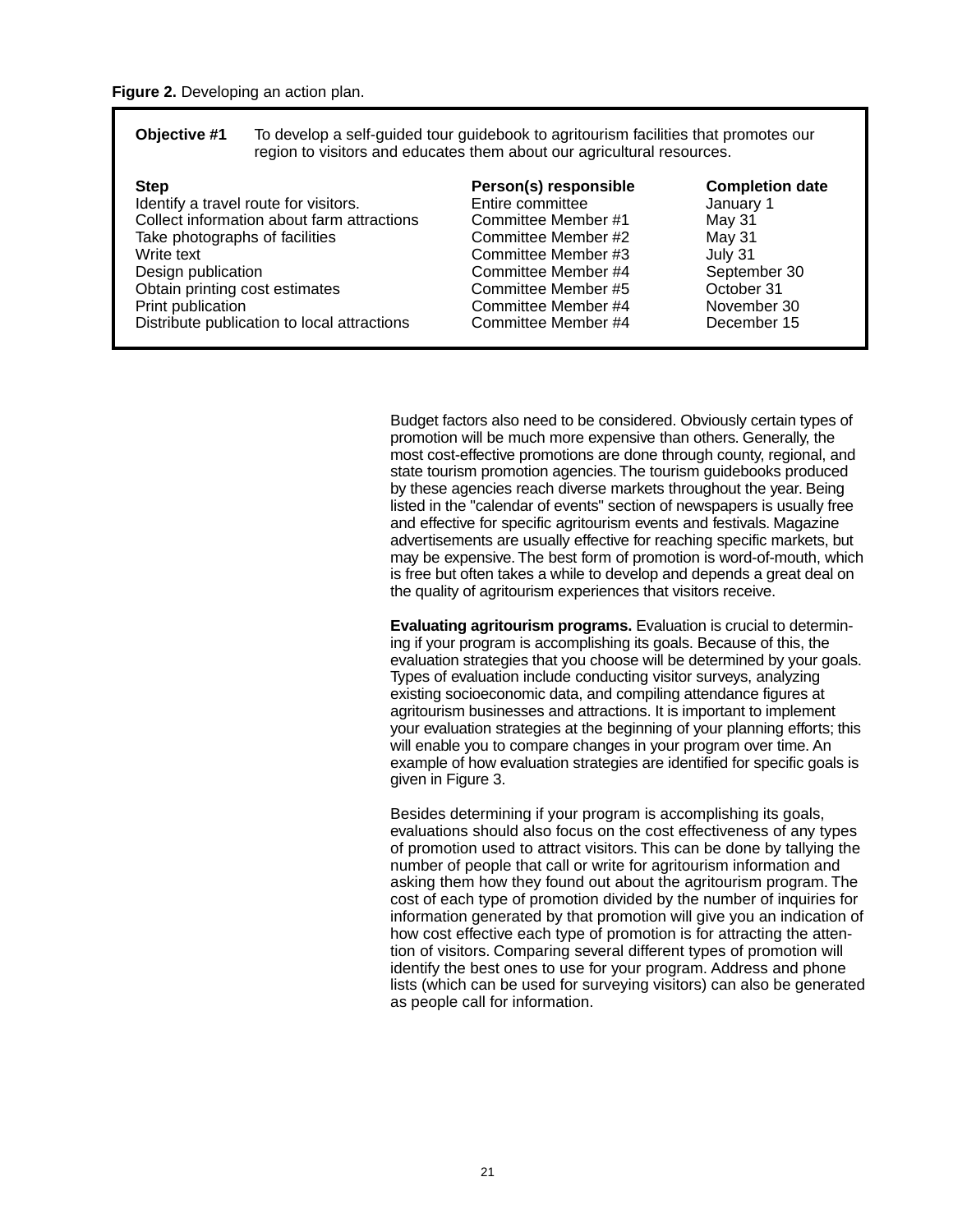| Objective #1 | To develop a self-guided tour guidebook to agritourism facilities that promotes our |
|--------------|-------------------------------------------------------------------------------------|
|              | region to visitors and educates them about our agricultural resources.              |

| Person(s) responsible<br>Entire committee<br>Committee Member #1<br>Committee Member #2<br>Committee Member #3<br>Committee Member #4<br>Committee Member #5<br>Committee Member #4 | <b>Completion date</b><br>January 1<br>May 31<br>May 31<br>July 31<br>September 30<br>October 31<br>November 30 |
|-------------------------------------------------------------------------------------------------------------------------------------------------------------------------------------|-----------------------------------------------------------------------------------------------------------------|
| Committee Member #4                                                                                                                                                                 | December 15                                                                                                     |
|                                                                                                                                                                                     |                                                                                                                 |

Budget factors also need to be considered. Obviously certain types of promotion will be much more expensive than others. Generally, the most cost-effective promotions are done through county, regional, and state tourism promotion agencies. The tourism guidebooks produced by these agencies reach diverse markets throughout the year. Being listed in the "calendar of events" section of newspapers is usually free and effective for specific agritourism events and festivals. Magazine advertisements are usually effective for reaching specific markets, but may be expensive. The best form of promotion is word-of-mouth, which is free but often takes a while to develop and depends a great deal on the quality of agritourism experiences that visitors receive.

**Evaluating agritourism programs.** Evaluation is crucial to determining if your program is accomplishing its goals. Because of this, the evaluation strategies that you choose will be determined by your goals. Types of evaluation include conducting visitor surveys, analyzing existing socioeconomic data, and compiling attendance figures at agritourism businesses and attractions. It is important to implement your evaluation strategies at the beginning of your planning efforts; this will enable you to compare changes in your program over time. An example of how evaluation strategies are identified for specific goals is given in Figure 3.

Besides determining if your program is accomplishing its goals, evaluations should also focus on the cost effectiveness of any types of promotion used to attract visitors. This can be done by tallying the number of people that call or write for agritourism information and asking them how they found out about the agritourism program. The cost of each type of promotion divided by the number of inquiries for information generated by that promotion will give you an indication of how cost effective each type of promotion is for attracting the attention of visitors. Comparing several different types of promotion will identify the best ones to use for your program. Address and phone lists (which can be used for surveying visitors) can also be generated as people call for information.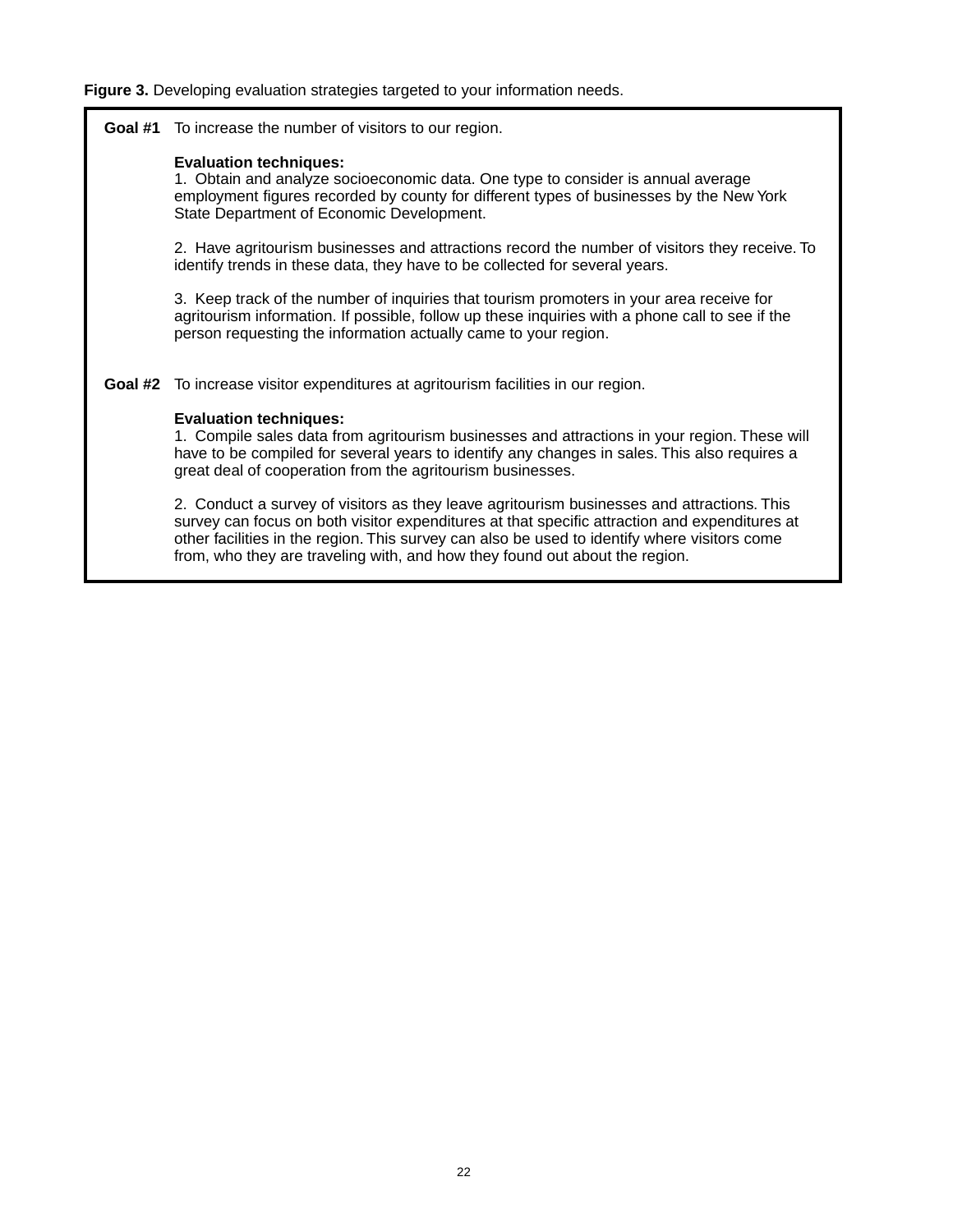### **Figure 3.** Developing evaluation strategies targeted to your information needs.

**Goal #1** To increase the number of visitors to our region.

### **Evaluation techniques:**

1. Obtain and analyze socioeconomic data. One type to consider is annual average employment figures recorded by county for different types of businesses by the New York State Department of Economic Development.

2. Have agritourism businesses and attractions record the number of visitors they receive. To identify trends in these data, they have to be collected for several years.

3. Keep track of the number of inquiries that tourism promoters in your area receive for agritourism information. If possible, follow up these inquiries with a phone call to see if the person requesting the information actually came to your region.

**Goal #2** To increase visitor expenditures at agritourism facilities in our region.

### **Evaluation techniques:**

1. Compile sales data from agritourism businesses and attractions in your region. These will have to be compiled for several years to identify any changes in sales. This also requires a great deal of cooperation from the agritourism businesses.

2. Conduct a survey of visitors as they leave agritourism businesses and attractions. This survey can focus on both visitor expenditures at that specific attraction and expenditures at other facilities in the region. This survey can also be used to identify where visitors come from, who they are traveling with, and how they found out about the region.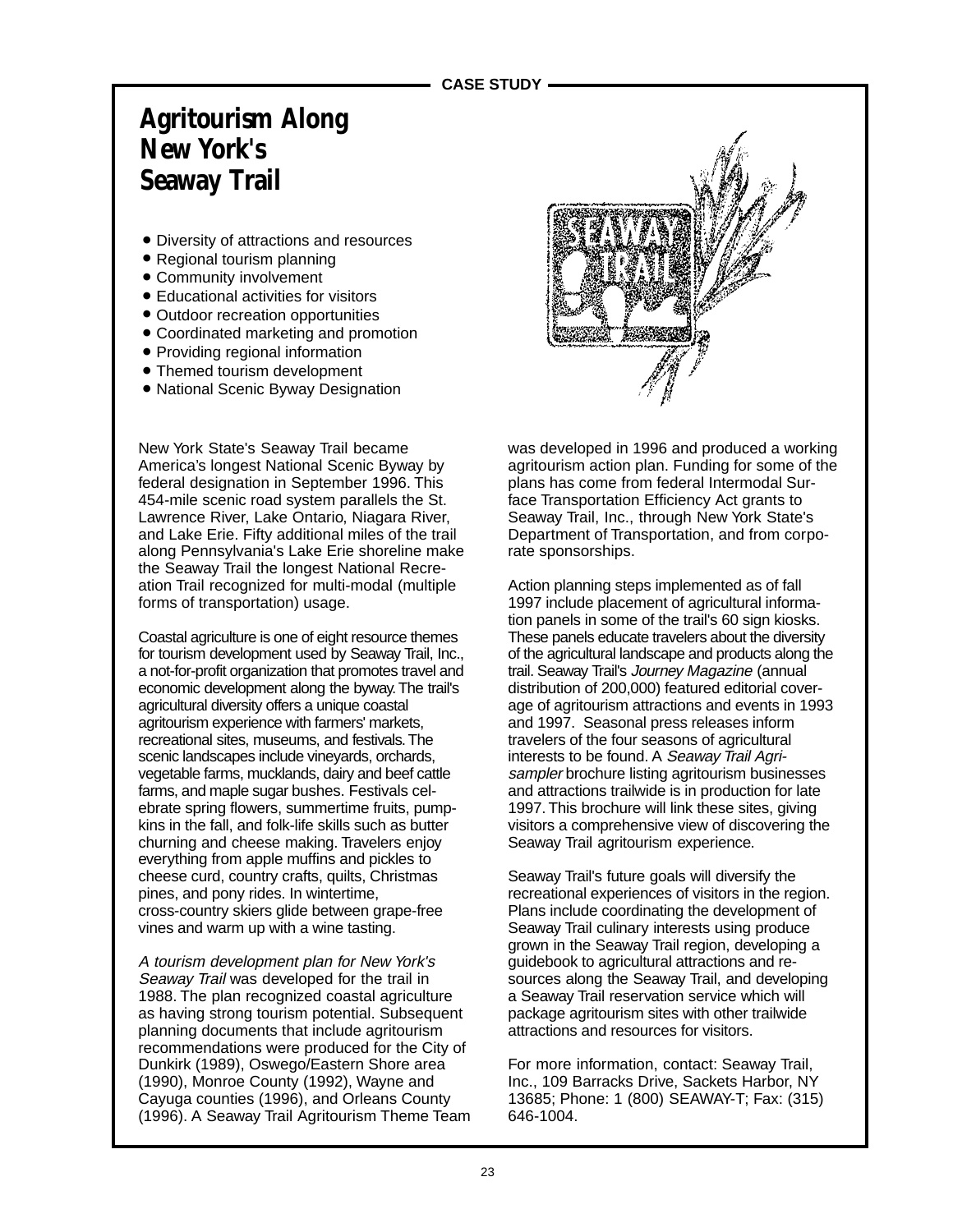# **Agritourism Along New York's Seaway Trail**

- Diversity of attractions and resources
- Regional tourism planning
- Community involvement ●
- Educational activities for visitors
- Outdoor recreation opportunities
- Coordinated marketing and promotion
- Providing regional information
- Themed tourism development
- National Scenic Byway Designation

New York State's Seaway Trail became America's longest National Scenic Byway by federal designation in September 1996. This 454-mile scenic road system parallels the St. Lawrence River, Lake Ontario, Niagara River, and Lake Erie. Fifty additional miles of the trail along Pennsylvania's Lake Erie shoreline make the Seaway Trail the longest National Recreation Trail recognized for multi-modal (multiple forms of transportation) usage.

Coastal agriculture is one of eight resource themes for tourism development used by Seaway Trail, Inc., a not-for-profit organization that promotes travel and economic development along the byway. The trail's agricultural diversity offers a unique coastal agritourism experience with farmers' markets, recreational sites, museums, and festivals. The scenic landscapes include vineyards, orchards, vegetable farms, mucklands, dairy and beef cattle farms, and maple sugar bushes. Festivals celebrate spring flowers, summertime fruits, pumpkins in the fall, and folk-life skills such as butter churning and cheese making. Travelers enjoy everything from apple muffins and pickles to cheese curd, country crafts, quilts, Christmas pines, and pony rides. In wintertime, cross-country skiers glide between grape-free vines and warm up with a wine tasting.

A tourism development plan for New York's Seaway Trail was developed for the trail in 1988. The plan recognized coastal agriculture as having strong tourism potential. Subsequent planning documents that include agritourism recommendations were produced for the City of Dunkirk (1989), Oswego/Eastern Shore area (1990), Monroe County (1992), Wayne and Cayuga counties (1996), and Orleans County (1996). A Seaway Trail Agritourism Theme Team



was developed in 1996 and produced a working agritourism action plan. Funding for some of the plans has come from federal Intermodal Surface Transportation Efficiency Act grants to Seaway Trail, Inc., through New York State's Department of Transportation, and from corporate sponsorships.

Action planning steps implemented as of fall 1997 include placement of agricultural information panels in some of the trail's 60 sign kiosks. These panels educate travelers about the diversity of the agricultural landscape and products along the trail. Seaway Trail's Journey Magazine (annual distribution of 200,000) featured editorial coverage of agritourism attractions and events in 1993 and 1997. Seasonal press releases inform travelers of the four seasons of agricultural interests to be found. A Seaway Trail Agrisampler brochure listing agritourism businesses and attractions trailwide is in production for late 1997. This brochure will link these sites, giving visitors a comprehensive view of discovering the Seaway Trail agritourism experience.

Seaway Trail's future goals will diversify the recreational experiences of visitors in the region. Plans include coordinating the development of Seaway Trail culinary interests using produce grown in the Seaway Trail region, developing a guidebook to agricultural attractions and resources along the Seaway Trail, and developing a Seaway Trail reservation service which will package agritourism sites with other trailwide attractions and resources for visitors.

For more information, contact: Seaway Trail, Inc., 109 Barracks Drive, Sackets Harbor, NY 13685; Phone: 1 (800) SEAWAY-T; Fax: (315) 646-1004.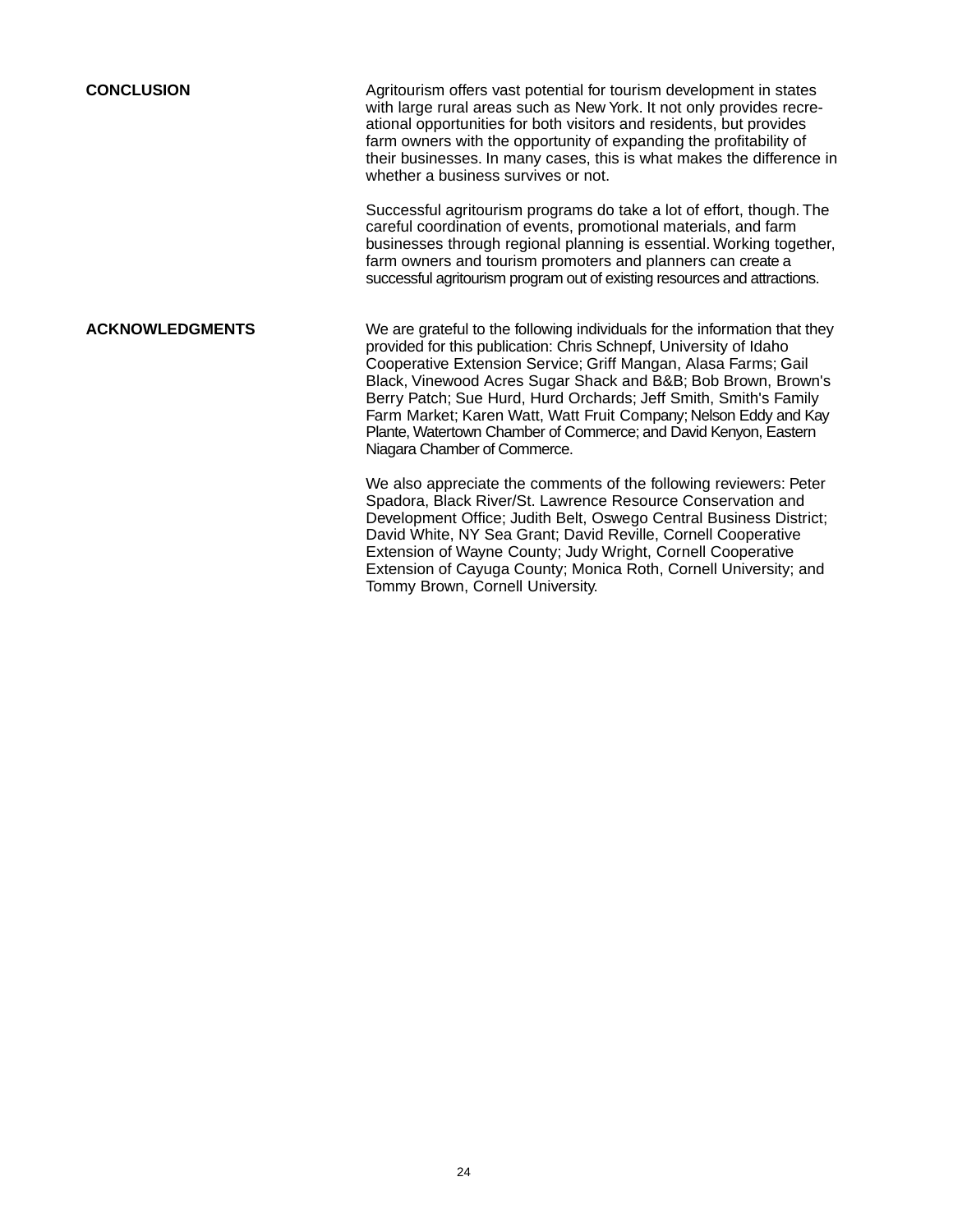**CONCLUSION** Agritourism offers vast potential for tourism development in states with large rural areas such as New York. It not only provides recreational opportunities for both visitors and residents, but provides farm owners with the opportunity of expanding the profitability of their businesses. In many cases, this is what makes the difference in whether a business survives or not.

> Successful agritourism programs do take a lot of effort, though. The careful coordination of events, promotional materials, and farm businesses through regional planning is essential. Working together, farm owners and tourism promoters and planners can create a successful agritourism program out of existing resources and attractions.

**ACKNOWLEDGMENTS** We are grateful to the following individuals for the information that they provided for this publication: Chris Schnepf, University of Idaho Cooperative Extension Service; Griff Mangan, Alasa Farms; Gail Black, Vinewood Acres Sugar Shack and B&B; Bob Brown, Brown's Berry Patch; Sue Hurd, Hurd Orchards; Jeff Smith, Smith's Family Farm Market; Karen Watt, Watt Fruit Company; Nelson Eddy and Kay Plante, Watertown Chamber of Commerce; and David Kenyon, Eastern Niagara Chamber of Commerce.

> We also appreciate the comments of the following reviewers: Peter Spadora, Black River/St. Lawrence Resource Conservation and Development Office; Judith Belt, Oswego Central Business District; David White, NY Sea Grant; David Reville, Cornell Cooperative Extension of Wayne County; Judy Wright, Cornell Cooperative Extension of Cayuga County; Monica Roth, Cornell University; and Tommy Brown, Cornell University.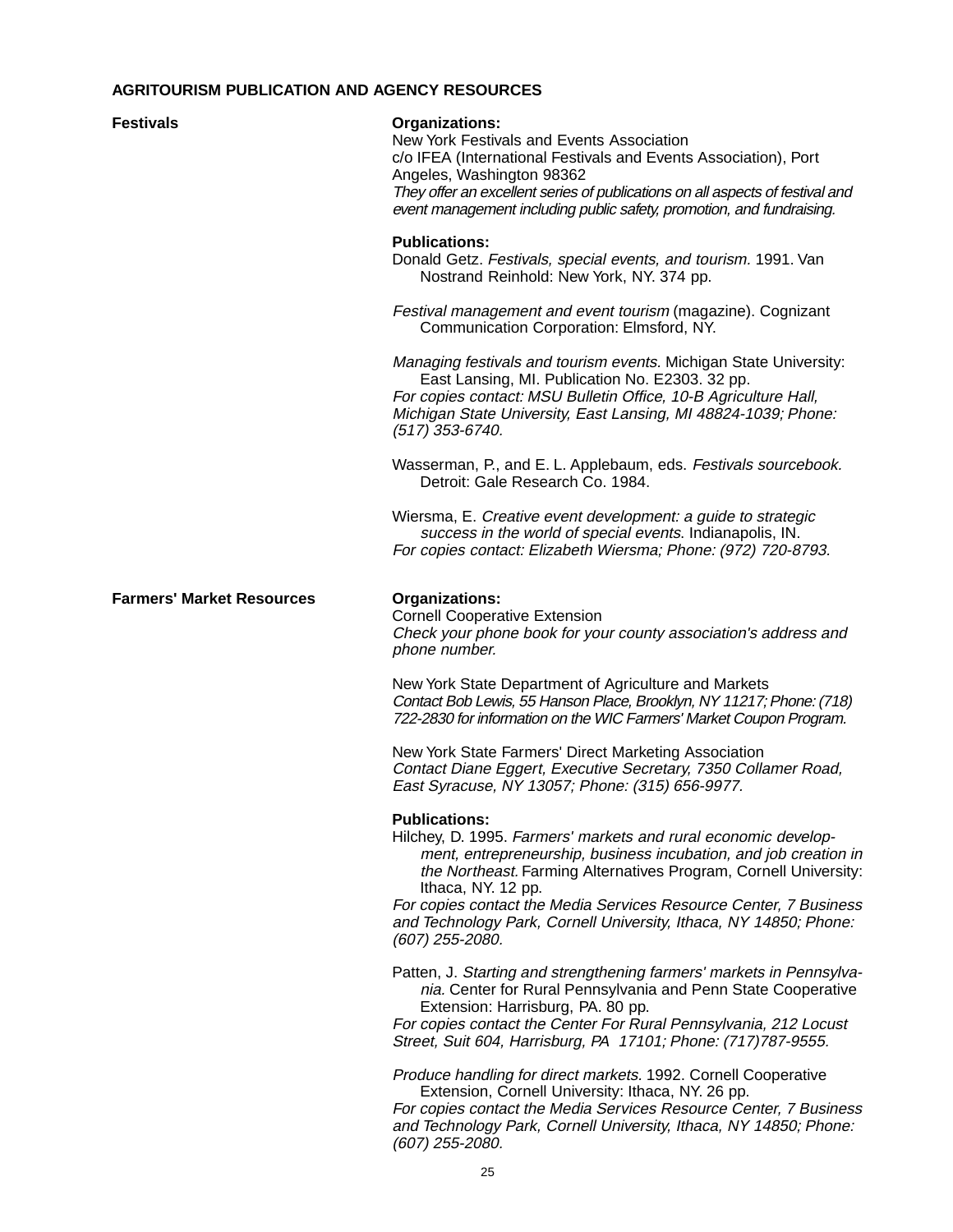### **AGRITOURISM PUBLICATION AND AGENCY RESOURCES**

#### **Festivals Organizations:**

New York Festivals and Events Association c/o IFEA (International Festivals and Events Association), Port Angeles, Washington 98362 They offer an excellent series of publications on all aspects of festival and event management including public safety, promotion, and fundraising.

#### **Publications:**

Donald Getz. Festivals, special events, and tourism. 1991. Van Nostrand Reinhold: New York, NY. 374 pp.

Festival management and event tourism (magazine). Cognizant Communication Corporation: Elmsford, NY.

Managing festivals and tourism events. Michigan State University: East Lansing, MI. Publication No. E2303. 32 pp. For copies contact: MSU Bulletin Office, 10-B Agriculture Hall, Michigan State University, East Lansing, MI 48824-1039; Phone: (517) 353-6740.

Wasserman, P., and E. L. Applebaum, eds. Festivals sourcebook. Detroit: Gale Research Co. 1984.

Wiersma, E. Creative event development: a guide to strategic success in the world of special events. Indianapolis, IN. For copies contact: Elizabeth Wiersma; Phone: (972) 720-8793.

#### **Farmers' Market Resources Organizations:**

Cornell Cooperative Extension Check your phone book for your county association's address and phone number.

New York State Department of Agriculture and Markets Contact Bob Lewis, 55 Hanson Place, Brooklyn, NY 11217; Phone: (718) 722-2830 for information on the WIC Farmers' Market Coupon Program.

New York State Farmers' Direct Marketing Association Contact Diane Eggert, Executive Secretary, 7350 Collamer Road, East Syracuse, NY 13057; Phone: (315) 656-9977.

#### **Publications:**

Hilchey, D. 1995. Farmers' markets and rural economic development, entrepreneurship, business incubation, and job creation in the Northeast. Farming Alternatives Program, Cornell University: Ithaca, NY. 12 pp.

For copies contact the Media Services Resource Center, 7 Business and Technology Park, Cornell University, Ithaca, NY 14850; Phone: (607) 255-2080.

Patten, J. Starting and strengthening farmers' markets in Pennsylvania. Center for Rural Pennsylvania and Penn State Cooperative Extension: Harrisburg, PA. 80 pp.

For copies contact the Center For Rural Pennsylvania, 212 Locust Street, Suit 604, Harrisburg, PA 17101; Phone: (717)787-9555.

Produce handling for direct markets. 1992. Cornell Cooperative Extension, Cornell University: Ithaca, NY. 26 pp.

For copies contact the Media Services Resource Center, 7 Business and Technology Park, Cornell University, Ithaca, NY 14850; Phone: (607) 255-2080.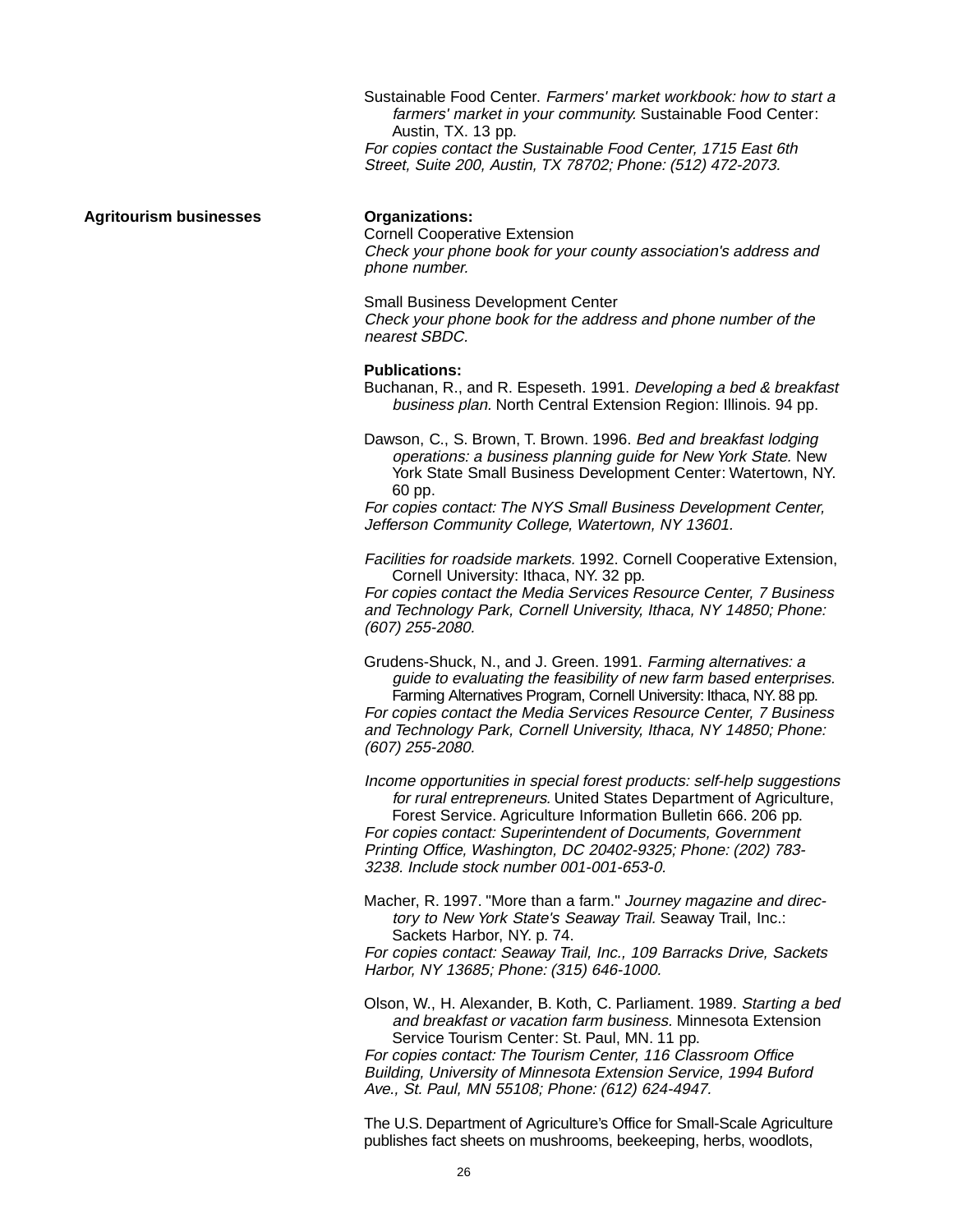Sustainable Food Center. Farmers' market workbook: how to start a farmers' market in your community. Sustainable Food Center: Austin, TX. 13 pp. For copies contact the Sustainable Food Center, 1715 East 6th Street, Suite 200, Austin, TX 78702; Phone: (512) 472-2073.

#### **Agritourism businesses Organizations:**

Cornell Cooperative Extension Check your phone book for your county association's address and phone number.

Small Business Development Center Check your phone book for the address and phone number of the nearest SBDC.

#### **Publications:**

Buchanan, R., and R. Espeseth. 1991. Developing a bed & breakfast business plan. North Central Extension Region: Illinois. 94 pp.

Dawson, C., S. Brown, T. Brown. 1996. Bed and breakfast lodging operations: a business planning guide for New York State. New York State Small Business Development Center: Watertown, NY. 60 pp.

For copies contact: The NYS Small Business Development Center, Jefferson Community College, Watertown, NY 13601.

Facilities for roadside markets. 1992. Cornell Cooperative Extension, Cornell University: Ithaca, NY. 32 pp.

For copies contact the Media Services Resource Center, 7 Business and Technology Park, Cornell University, Ithaca, NY 14850; Phone: (607) 255-2080.

Grudens-Shuck, N., and J. Green. 1991. Farming alternatives: a guide to evaluating the feasibility of new farm based enterprises. Farming Alternatives Program, Cornell University: Ithaca, NY. 88 pp. For copies contact the Media Services Resource Center, 7 Business

and Technology Park, Cornell University, Ithaca, NY 14850; Phone: (607) 255-2080.

Income opportunities in special forest products: self-help suggestions for rural entrepreneurs. United States Department of Agriculture, Forest Service. Agriculture Information Bulletin 666. 206 pp. For copies contact: Superintendent of Documents, Government Printing Office, Washington, DC 20402-9325; Phone: (202) 783- 3238. Include stock number 001-001-653-0.

Macher, R. 1997. "More than a farm." Journey magazine and directory to New York State's Seaway Trail. Seaway Trail, Inc.: Sackets Harbor, NY. p. 74.

For copies contact: Seaway Trail, Inc., 109 Barracks Drive, Sackets Harbor, NY 13685; Phone: (315) 646-1000.

Olson, W., H. Alexander, B. Koth, C. Parliament. 1989. Starting a bed and breakfast or vacation farm business. Minnesota Extension Service Tourism Center: St. Paul, MN. 11 pp.

For copies contact: The Tourism Center, 116 Classroom Office Building, University of Minnesota Extension Service, 1994 Buford Ave., St. Paul, MN 55108; Phone: (612) 624-4947.

The U.S. Department of Agriculture's Office for Small-Scale Agriculture publishes fact sheets on mushrooms, beekeeping, herbs, woodlots,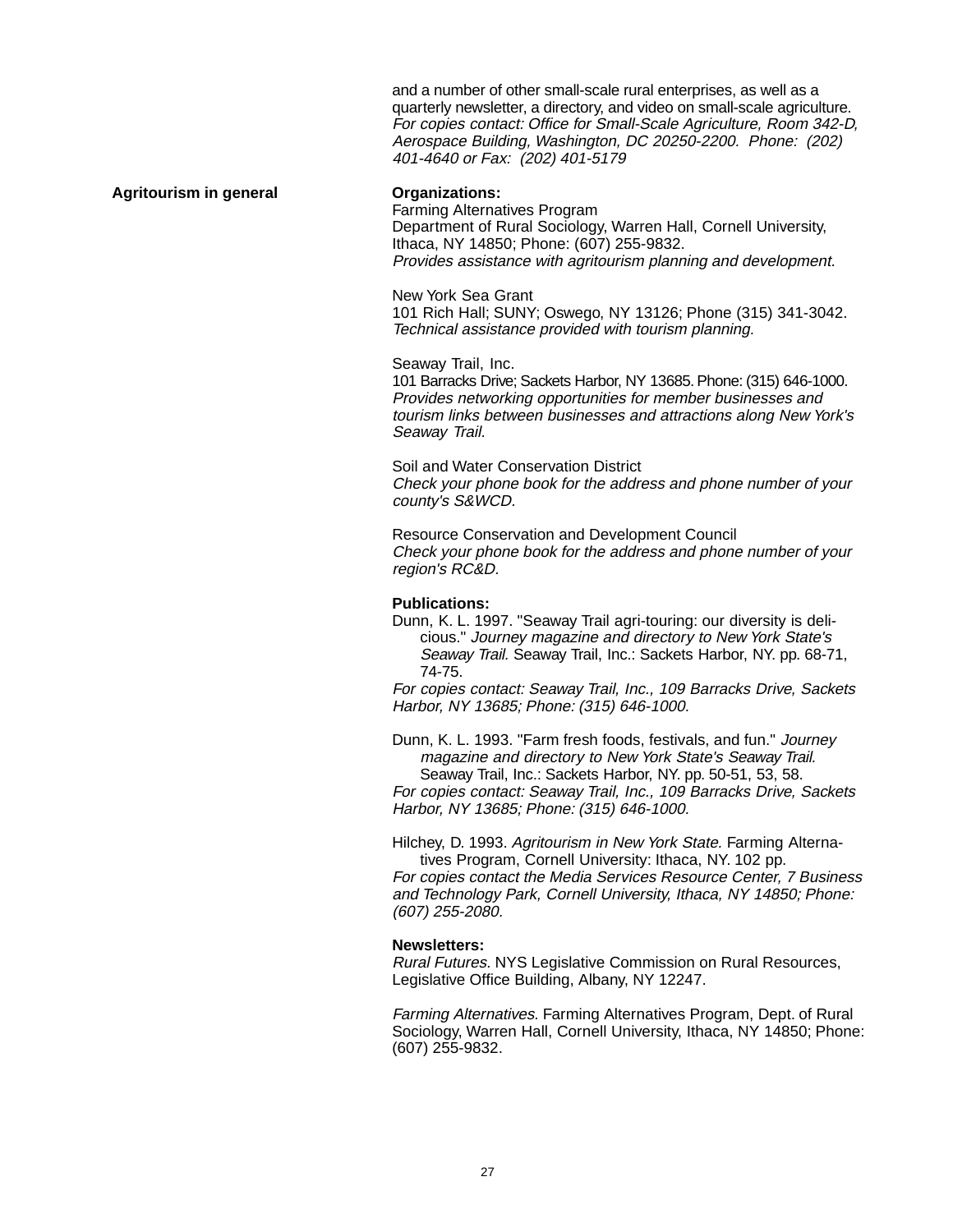and a number of other small-scale rural enterprises, as well as a quarterly newsletter, a directory, and video on small-scale agriculture. For copies contact: Office for Small-Scale Agriculture, Room 342-D, Aerospace Building, Washington, DC 20250-2200. Phone: (202) 401-4640 or Fax: (202) 401-5179

#### Agritourism in general **Conservations**:

Farming Alternatives Program Department of Rural Sociology, Warren Hall, Cornell University, Ithaca, NY 14850; Phone: (607) 255-9832. Provides assistance with agritourism planning and development.

New York Sea Grant 101 Rich Hall; SUNY; Oswego, NY 13126; Phone (315) 341-3042. Technical assistance provided with tourism planning.

Seaway Trail, Inc. 101 Barracks Drive; Sackets Harbor, NY 13685. Phone: (315) 646-1000. Provides networking opportunities for member businesses and tourism links between businesses and attractions along New York's Seaway Trail.

Soil and Water Conservation District Check your phone book for the address and phone number of your county's S&WCD.

Resource Conservation and Development Council Check your phone book for the address and phone number of your region's RC&D.

#### **Publications:**

Dunn, K. L. 1997. "Seaway Trail agri-touring: our diversity is delicious." Journey magazine and directory to New York State's Seaway Trail. Seaway Trail, Inc.: Sackets Harbor, NY. pp. 68-71, 74-75.

For copies contact: Seaway Trail, Inc., 109 Barracks Drive, Sackets Harbor, NY 13685; Phone: (315) 646-1000.

Dunn, K. L. 1993. "Farm fresh foods, festivals, and fun." Journey magazine and directory to New York State's Seaway Trail. Seaway Trail, Inc.: Sackets Harbor, NY. pp. 50-51, 53, 58.

For copies contact: Seaway Trail, Inc., 109 Barracks Drive, Sackets Harbor, NY 13685; Phone: (315) 646-1000.

Hilchey, D. 1993. Agritourism in New York State. Farming Alternatives Program, Cornell University: Ithaca, NY. 102 pp. For copies contact the Media Services Resource Center, 7 Business and Technology Park, Cornell University, Ithaca, NY 14850; Phone: (607) 255-2080.

#### **Newsletters:**

Rural Futures. NYS Legislative Commission on Rural Resources, Legislative Office Building, Albany, NY 12247.

Farming Alternatives. Farming Alternatives Program, Dept. of Rural Sociology, Warren Hall, Cornell University, Ithaca, NY 14850; Phone: (607) 255-9832.